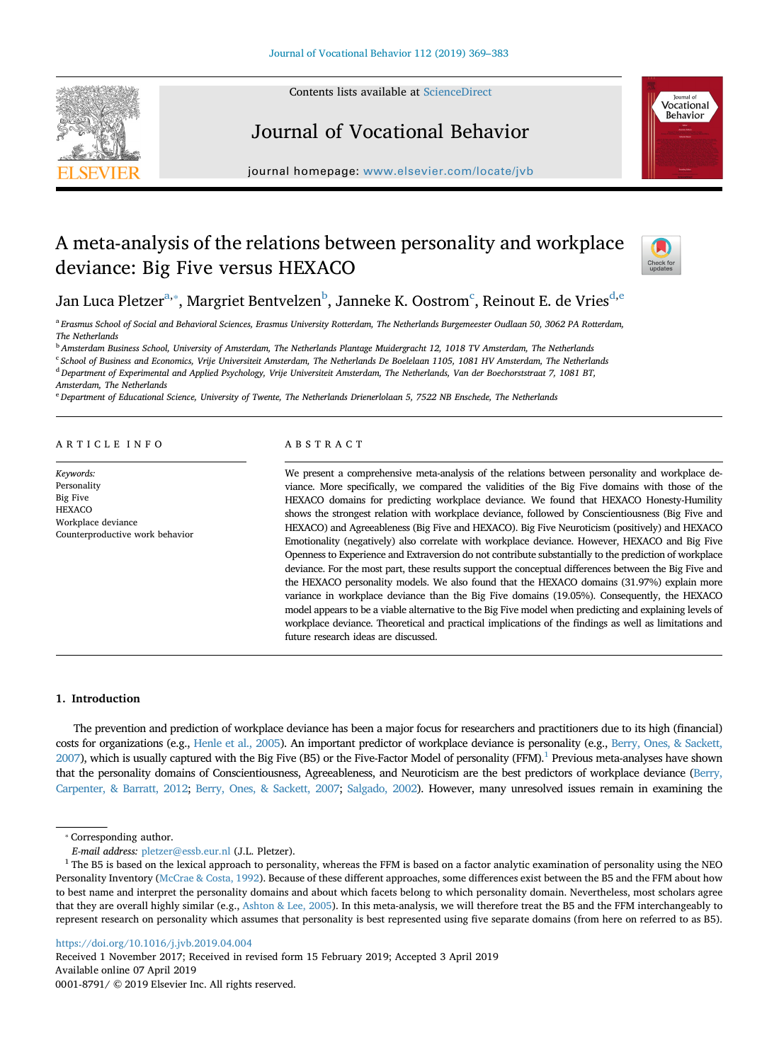Contents lists available at [ScienceDirect](http://www.sciencedirect.com/science/journal/00018791)





# Journal of Vocational Behavior

journal homepage: [www.elsevier.com/locate/jvb](https://www.elsevier.com/locate/jvb)

## A meta-analysis of the relations between personality and workplace deviance: Big Five versus HEXACO



Jan Luca Pl[e](#page-0-5)tzer $^{\rm a, *},$  $^{\rm a, *},$  $^{\rm a, *},$  Margriet Bentvelzen $^{\rm b}$  $^{\rm b}$  $^{\rm b}$ , Janneke K. Oostrom $^{\rm c}$ , Reinout E. [d](#page-0-4)e Vries $^{\rm d, e}$ 

<span id="page-0-0"></span><sup>a</sup> *Erasmus School of Social and Behavioral Sciences, Erasmus University Rotterdam, The Netherlands Burgemeester Oudlaan 50, 3062 PA Rotterdam, The Netherlands*

<span id="page-0-2"></span><sup>b</sup> *Amsterdam Business School, University of Amsterdam, The Netherlands Plantage Muidergracht 12, 1018 TV Amsterdam, The Netherlands*

<span id="page-0-3"></span><sup>c</sup> *School of Business and Economics, Vrije Universiteit Amsterdam, The Netherlands De Boelelaan 1105, 1081 HV Amsterdam, The Netherlands*

<span id="page-0-4"></span><sup>d</sup> *Department of Experimental and Applied Psychology, Vrije Universiteit Amsterdam, The Netherlands, Van der Boechorststraat 7, 1081 BT,*

*Amsterdam, The Netherlands*

<span id="page-0-5"></span><sup>e</sup> *Department of Educational Science, University of Twente, The Netherlands Drienerlolaan 5, 7522 NB Enschede, The Netherlands*

## ARTICLE INFO

*Keywords:* Personality Big Five **HEXACO** Workplace deviance Counterproductive work behavior

## ABSTRACT

We present a comprehensive meta-analysis of the relations between personality and workplace deviance. More specifically, we compared the validities of the Big Five domains with those of the HEXACO domains for predicting workplace deviance. We found that HEXACO Honesty-Humility shows the strongest relation with workplace deviance, followed by Conscientiousness (Big Five and HEXACO) and Agreeableness (Big Five and HEXACO). Big Five Neuroticism (positively) and HEXACO Emotionality (negatively) also correlate with workplace deviance. However, HEXACO and Big Five Openness to Experience and Extraversion do not contribute substantially to the prediction of workplace deviance. For the most part, these results support the conceptual differences between the Big Five and the HEXACO personality models. We also found that the HEXACO domains (31.97%) explain more variance in workplace deviance than the Big Five domains (19.05%). Consequently, the HEXACO model appears to be a viable alternative to the Big Five model when predicting and explaining levels of workplace deviance. Theoretical and practical implications of the findings as well as limitations and future research ideas are discussed.

## **1. Introduction**

The prevention and prediction of workplace deviance has been a major focus for researchers and practitioners due to its high (financial) costs for organizations (e.g., [Henle et al., 2005\)](#page-13-0). An important predictor of workplace deviance is personality (e.g., [Berry, Ones, & Sackett,](#page-12-0) [2007](#page-12-0)), which is usually captured with the Big Five (B5) or the Five-Factor Model of personality (FFM).<sup>1</sup> Previous meta-analyses have shown that the personality domains of Conscientiousness, Agreeableness, and Neuroticism are the best predictors of workplace deviance [\(Berry,](#page-12-1) [Carpenter, & Barratt, 2012](#page-12-1); [Berry, Ones, & Sackett, 2007](#page-12-0); [Salgado, 2002](#page-14-0)). However, many unresolved issues remain in examining the

<span id="page-0-1"></span>⁎ Corresponding author.

<https://doi.org/10.1016/j.jvb.2019.04.004>

Received 1 November 2017; Received in revised form 15 February 2019; Accepted 3 April 2019 Available online 07 April 2019 0001-8791/ © 2019 Elsevier Inc. All rights reserved.

*E-mail address:* [pletzer@essb.eur.nl](mailto:pletzer@essb.eur.nl) (J.L. Pletzer).

<span id="page-0-6"></span><sup>&</sup>lt;sup>1</sup> The B5 is based on the lexical approach to personality, whereas the FFM is based on a factor analytic examination of personality using the NEO Personality Inventory [\(McCrae & Costa, 1992](#page-13-1)). Because of these different approaches, some differences exist between the B5 and the FFM about how to best name and interpret the personality domains and about which facets belong to which personality domain. Nevertheless, most scholars agree that they are overall highly similar (e.g., [Ashton & Lee, 2005](#page-12-2)). In this meta-analysis, we will therefore treat the B5 and the FFM interchangeably to represent research on personality which assumes that personality is best represented using five separate domains (from here on referred to as B5).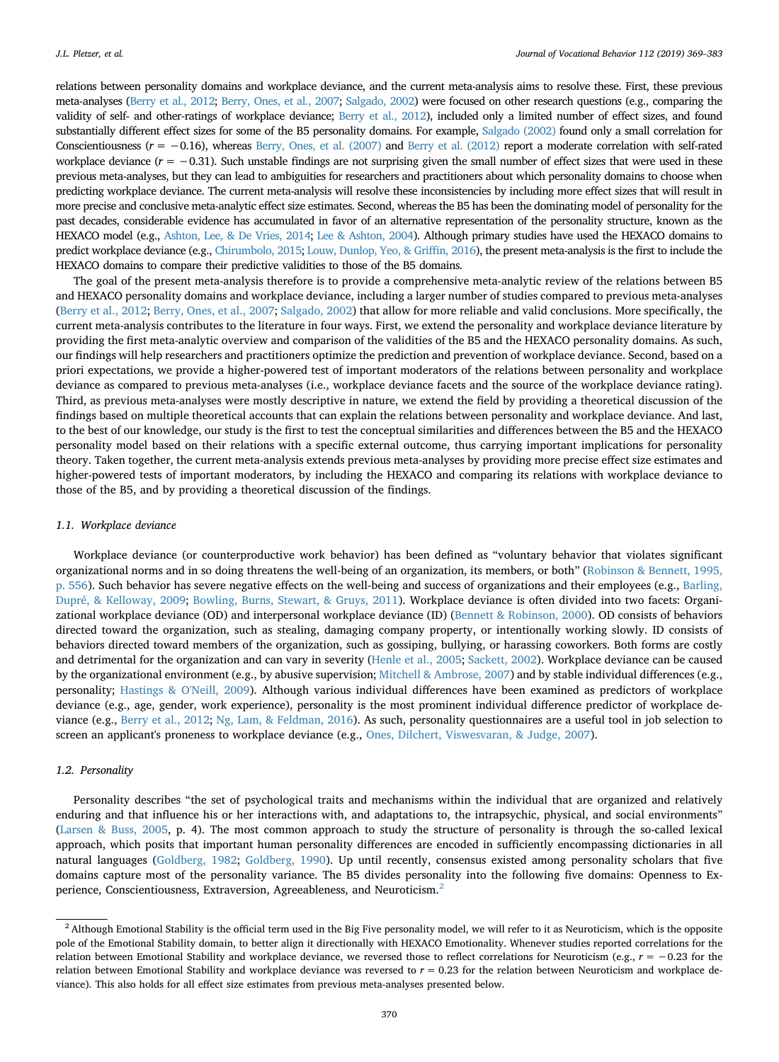relations between personality domains and workplace deviance, and the current meta-analysis aims to resolve these. First, these previous meta-analyses [\(Berry et al., 2012](#page-12-1); [Berry, Ones, et al., 2007](#page-12-0); [Salgado, 2002\)](#page-14-0) were focused on other research questions (e.g., comparing the validity of self- and other-ratings of workplace deviance; [Berry et al., 2012\)](#page-12-1), included only a limited number of effect sizes, and found substantially different effect sizes for some of the B5 personality domains. For example, [Salgado \(2002\)](#page-14-0) found only a small correlation for Conscientiousness (*r* = −0.16), whereas [Berry, Ones, et al. \(2007\)](#page-12-0) and [Berry et al. \(2012\)](#page-12-1) report a moderate correlation with self-rated workplace deviance  $(r = -0.31)$ . Such unstable findings are not surprising given the small number of effect sizes that were used in these previous meta-analyses, but they can lead to ambiguities for researchers and practitioners about which personality domains to choose when predicting workplace deviance. The current meta-analysis will resolve these inconsistencies by including more effect sizes that will result in more precise and conclusive meta-analytic effect size estimates. Second, whereas the B5 has been the dominating model of personality for the past decades, considerable evidence has accumulated in favor of an alternative representation of the personality structure, known as the HEXACO model (e.g., [Ashton, Lee, & De Vries, 2014](#page-12-3); [Lee & Ashton, 2004\)](#page-13-2). Although primary studies have used the HEXACO domains to predict workplace deviance (e.g., [Chirumbolo, 2015;](#page-12-4) [Louw, Dunlop, Yeo, & Griffin, 2016\)](#page-13-3), the present meta-analysis is the first to include the HEXACO domains to compare their predictive validities to those of the B5 domains.

The goal of the present meta-analysis therefore is to provide a comprehensive meta-analytic review of the relations between B5 and HEXACO personality domains and workplace deviance, including a larger number of studies compared to previous meta-analyses [\(Berry et al., 2012;](#page-12-1) [Berry, Ones, et al., 2007](#page-12-0); [Salgado, 2002](#page-14-0)) that allow for more reliable and valid conclusions. More specifically, the current meta-analysis contributes to the literature in four ways. First, we extend the personality and workplace deviance literature by providing the first meta-analytic overview and comparison of the validities of the B5 and the HEXACO personality domains. As such, our findings will help researchers and practitioners optimize the prediction and prevention of workplace deviance. Second, based on a priori expectations, we provide a higher-powered test of important moderators of the relations between personality and workplace deviance as compared to previous meta-analyses (i.e., workplace deviance facets and the source of the workplace deviance rating). Third, as previous meta-analyses were mostly descriptive in nature, we extend the field by providing a theoretical discussion of the findings based on multiple theoretical accounts that can explain the relations between personality and workplace deviance. And last, to the best of our knowledge, our study is the first to test the conceptual similarities and differences between the B5 and the HEXACO personality model based on their relations with a specific external outcome, thus carrying important implications for personality theory. Taken together, the current meta-analysis extends previous meta-analyses by providing more precise effect size estimates and higher-powered tests of important moderators, by including the HEXACO and comparing its relations with workplace deviance to those of the B5, and by providing a theoretical discussion of the findings.

#### *1.1. Workplace deviance*

Workplace deviance (or counterproductive work behavior) has been defined as "voluntary behavior that violates significant organizational norms and in so doing threatens the well-being of an organization, its members, or both" ([Robinson & Bennett, 1995,](#page-14-1) [p. 556](#page-14-1)). Such behavior has severe negative effects on the well-being and success of organizations and their employees (e.g., [Barling,](#page-12-5) [Dupré, & Kelloway, 2009;](#page-12-5) [Bowling, Burns, Stewart, & Gruys, 2011\)](#page-12-6). Workplace deviance is often divided into two facets: Organizational workplace deviance (OD) and interpersonal workplace deviance (ID) ([Bennett & Robinson, 2000\)](#page-12-7). OD consists of behaviors directed toward the organization, such as stealing, damaging company property, or intentionally working slowly. ID consists of behaviors directed toward members of the organization, such as gossiping, bullying, or harassing coworkers. Both forms are costly and detrimental for the organization and can vary in severity ([Henle et al., 2005;](#page-13-0) [Sackett, 2002](#page-14-2)). Workplace deviance can be caused by the organizational environment (e.g., by abusive supervision; [Mitchell & Ambrose, 2007\)](#page-13-4) and by stable individual differences (e.g., personality; [Hastings & O'Neill, 2009\)](#page-13-5). Although various individual differences have been examined as predictors of workplace deviance (e.g., age, gender, work experience), personality is the most prominent individual difference predictor of workplace deviance (e.g., [Berry et al., 2012;](#page-12-1) [Ng, Lam, & Feldman, 2016\)](#page-14-3). As such, personality questionnaires are a useful tool in job selection to screen an applicant's proneness to workplace deviance (e.g., [Ones, Dilchert, Viswesvaran, & Judge, 2007\)](#page-14-4).

#### *1.2. Personality*

Personality describes "the set of psychological traits and mechanisms within the individual that are organized and relatively enduring and that influence his or her interactions with, and adaptations to, the intrapsychic, physical, and social environments" [\(Larsen & Buss, 2005](#page-13-6), p. 4). The most common approach to study the structure of personality is through the so-called lexical approach, which posits that important human personality differences are encoded in sufficiently encompassing dictionaries in all natural languages ([Goldberg, 1982;](#page-13-7) [Goldberg, 1990\)](#page-13-8). Up until recently, consensus existed among personality scholars that five domains capture most of the personality variance. The B5 divides personality into the following five domains: Openness to Ex-perience, Conscientiousness, Extraversion, Agreeableness, and Neuroticism.<sup>[2](#page-1-0)</sup>

<span id="page-1-0"></span> $<sup>2</sup>$  Although Emotional Stability is the official term used in the Big Five personality model, we will refer to it as Neuroticism, which is the opposite</sup> pole of the Emotional Stability domain, to better align it directionally with HEXACO Emotionality. Whenever studies reported correlations for the relation between Emotional Stability and workplace deviance, we reversed those to reflect correlations for Neuroticism (e.g., *r* = −0.23 for the relation between Emotional Stability and workplace deviance was reversed to *r* = 0.23 for the relation between Neuroticism and workplace deviance). This also holds for all effect size estimates from previous meta-analyses presented below.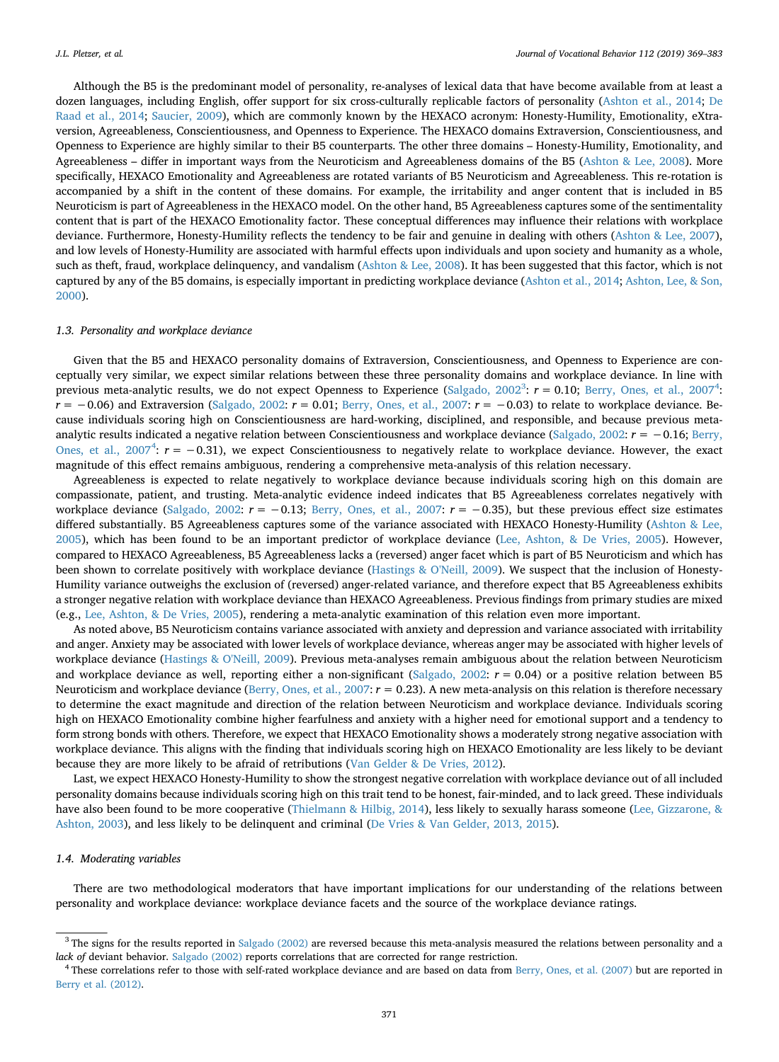Although the B5 is the predominant model of personality, re-analyses of lexical data that have become available from at least a dozen languages, including English, offer support for six cross-culturally replicable factors of personality ([Ashton et al., 2014;](#page-12-3) [De](#page-12-8) [Raad et al., 2014](#page-12-8); [Saucier, 2009](#page-14-5)), which are commonly known by the HEXACO acronym: Honesty-Humility, Emotionality, eXtraversion, Agreeableness, Conscientiousness, and Openness to Experience. The HEXACO domains Extraversion, Conscientiousness, and Openness to Experience are highly similar to their B5 counterparts. The other three domains – Honesty-Humility, Emotionality, and Agreeableness – differ in important ways from the Neuroticism and Agreeableness domains of the B5 ([Ashton & Lee, 2008\)](#page-12-9). More specifically, HEXACO Emotionality and Agreeableness are rotated variants of B5 Neuroticism and Agreeableness. This re-rotation is accompanied by a shift in the content of these domains. For example, the irritability and anger content that is included in B5 Neuroticism is part of Agreeableness in the HEXACO model. On the other hand, B5 Agreeableness captures some of the sentimentality content that is part of the HEXACO Emotionality factor. These conceptual differences may influence their relations with workplace deviance. Furthermore, Honesty-Humility reflects the tendency to be fair and genuine in dealing with others [\(Ashton & Lee, 2007](#page-12-10)), and low levels of Honesty-Humility are associated with harmful effects upon individuals and upon society and humanity as a whole, such as theft, fraud, workplace delinquency, and vandalism [\(Ashton & Lee, 2008\)](#page-12-9). It has been suggested that this factor, which is not captured by any of the B5 domains, is especially important in predicting workplace deviance [\(Ashton et al., 2014](#page-12-3); [Ashton, Lee, & Son,](#page-12-11) [2000\)](#page-12-11).

## *1.3. Personality and workplace deviance*

Given that the B5 and HEXACO personality domains of Extraversion, Conscientiousness, and Openness to Experience are conceptually very similar, we expect similar relations between these three personality domains and workplace deviance. In line with previous meta-analytic results, we do not expect Openness to Experience [\(Salgado, 2002](#page-14-0)<sup>[3](#page-2-0)</sup>:  $r = 0.10$ ; [Berry, Ones, et al., 2007](#page-12-0)<sup>[4](#page-2-1)</sup>: *r* = −0.06) and Extraversion ([Salgado, 2002](#page-14-0): *r* = 0.01; [Berry, Ones, et al., 2007](#page-12-0): *r* = −0.03) to relate to workplace deviance. Because individuals scoring high on Conscientiousness are hard-working, disciplined, and responsible, and because previous metaanalytic results indicated a negative relation between Conscientiousness and workplace deviance ([Salgado, 2002:](#page-14-0) *r* = −0.16; [Berry,](#page-12-0) [Ones, et al., 2007](#page-12-0)<sup>[4](#page-2-1)</sup>:  $r = -0.31$ ), we expect Conscientiousness to negatively relate to workplace deviance. However, the exact magnitude of this effect remains ambiguous, rendering a comprehensive meta-analysis of this relation necessary.

Agreeableness is expected to relate negatively to workplace deviance because individuals scoring high on this domain are compassionate, patient, and trusting. Meta-analytic evidence indeed indicates that B5 Agreeableness correlates negatively with workplace deviance ([Salgado, 2002](#page-14-0): *r* = −0.13; [Berry, Ones, et al., 2007](#page-12-0): *r* = −0.35), but these previous effect size estimates differed substantially. B5 Agreeableness captures some of the variance associated with HEXACO Honesty-Humility [\(Ashton & Lee,](#page-12-2) [2005\)](#page-12-2), which has been found to be an important predictor of workplace deviance ([Lee, Ashton, & De Vries, 2005](#page-13-9)). However, compared to HEXACO Agreeableness, B5 Agreeableness lacks a (reversed) anger facet which is part of B5 Neuroticism and which has been shown to correlate positively with workplace deviance ([Hastings & O'Neill, 2009](#page-13-5)). We suspect that the inclusion of Honesty-Humility variance outweighs the exclusion of (reversed) anger-related variance, and therefore expect that B5 Agreeableness exhibits a stronger negative relation with workplace deviance than HEXACO Agreeableness. Previous findings from primary studies are mixed (e.g., [Lee, Ashton, & De Vries, 2005\)](#page-13-9), rendering a meta-analytic examination of this relation even more important.

As noted above, B5 Neuroticism contains variance associated with anxiety and depression and variance associated with irritability and anger. Anxiety may be associated with lower levels of workplace deviance, whereas anger may be associated with higher levels of workplace deviance ([Hastings & O'Neill, 2009\)](#page-13-5). Previous meta-analyses remain ambiguous about the relation between Neuroticism and workplace deviance as well, reporting either a non-significant (Salgado,  $2002$ :  $r = 0.04$ ) or a positive relation between B5 Neuroticism and workplace deviance ([Berry, Ones, et al., 2007:](#page-12-0)  $r = 0.23$ ). A new meta-analysis on this relation is therefore necessary to determine the exact magnitude and direction of the relation between Neuroticism and workplace deviance. Individuals scoring high on HEXACO Emotionality combine higher fearfulness and anxiety with a higher need for emotional support and a tendency to form strong bonds with others. Therefore, we expect that HEXACO Emotionality shows a moderately strong negative association with workplace deviance. This aligns with the finding that individuals scoring high on HEXACO Emotionality are less likely to be deviant because they are more likely to be afraid of retributions ([Van Gelder & De Vries, 2012](#page-14-6)).

Last, we expect HEXACO Honesty-Humility to show the strongest negative correlation with workplace deviance out of all included personality domains because individuals scoring high on this trait tend to be honest, fair-minded, and to lack greed. These individuals have also been found to be more cooperative [\(Thielmann & Hilbig, 2014\)](#page-14-7), less likely to sexually harass someone [\(Lee, Gizzarone, &](#page-13-10) [Ashton, 2003\)](#page-13-10), and less likely to be delinquent and criminal [\(De Vries & Van Gelder, 2013, 2015\)](#page-12-12).

#### *1.4. Moderating variables*

There are two methodological moderators that have important implications for our understanding of the relations between personality and workplace deviance: workplace deviance facets and the source of the workplace deviance ratings.

<span id="page-2-0"></span> $3$  The signs for the results reported in [Salgado \(2002\)](#page-14-0) are reversed because this meta-analysis measured the relations between personality and a *lack of* deviant behavior. [Salgado \(2002\)](#page-14-0) reports correlations that are corrected for range restriction.

<span id="page-2-1"></span><sup>&</sup>lt;sup>4</sup> These correlations refer to those with self-rated workplace deviance and are based on data from [Berry, Ones, et al. \(2007\)](#page-12-0) but are reported in [Berry et al. \(2012\).](#page-12-1)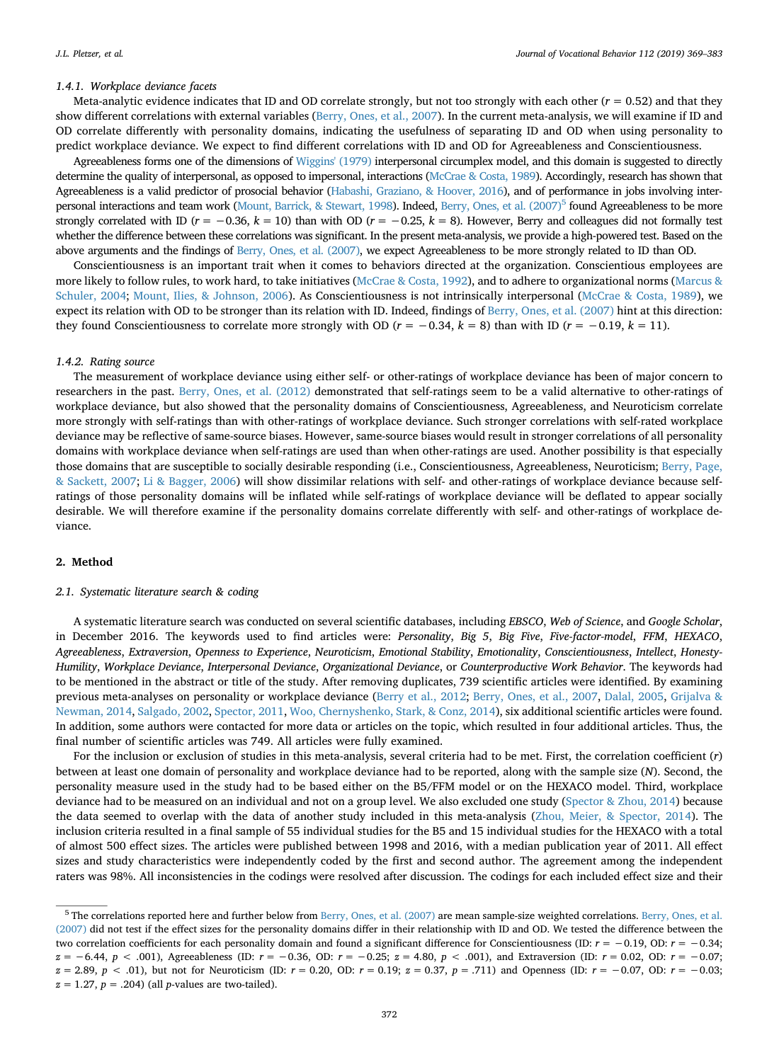#### *1.4.1. Workplace deviance facets*

Meta-analytic evidence indicates that ID and OD correlate strongly, but not too strongly with each other  $(r = 0.52)$  and that they show different correlations with external variables [\(Berry, Ones, et al., 2007\)](#page-12-0). In the current meta-analysis, we will examine if ID and OD correlate differently with personality domains, indicating the usefulness of separating ID and OD when using personality to predict workplace deviance. We expect to find different correlations with ID and OD for Agreeableness and Conscientiousness.

Agreeableness forms one of the dimensions of [Wiggins' \(1979\)](#page-14-8) interpersonal circumplex model, and this domain is suggested to directly determine the quality of interpersonal, as opposed to impersonal, interactions [\(McCrae & Costa, 1989](#page-13-11)). Accordingly, research has shown that Agreeableness is a valid predictor of prosocial behavior [\(Habashi, Graziano, & Hoover, 2016\)](#page-13-12), and of performance in jobs involving inter-personal interactions and team work [\(Mount, Barrick, & Stewart, 1998](#page-13-13)). Indeed, [Berry, Ones, et al. \(2007\)](#page-12-0)<sup>[5](#page-3-0)</sup> found Agreeableness to be more strongly correlated with ID ( $r = -0.36$ ,  $k = 10$ ) than with OD ( $r = -0.25$ ,  $k = 8$ ). However, Berry and colleagues did not formally test whether the difference between these correlations was significant. In the present meta-analysis, we provide a high-powered test. Based on the above arguments and the findings of [Berry, Ones, et al. \(2007\)](#page-12-0), we expect Agreeableness to be more strongly related to ID than OD.

Conscientiousness is an important trait when it comes to behaviors directed at the organization. Conscientious employees are more likely to follow rules, to work hard, to take initiatives [\(McCrae & Costa, 1992\)](#page-13-1), and to adhere to organizational norms [\(Marcus &](#page-13-14) [Schuler, 2004](#page-13-14); [Mount, Ilies, & Johnson, 2006](#page-13-15)). As Conscientiousness is not intrinsically interpersonal ([McCrae & Costa, 1989](#page-13-11)), we expect its relation with OD to be stronger than its relation with ID. Indeed, findings of [Berry, Ones, et al. \(2007\)](#page-12-0) hint at this direction: they found Conscientiousness to correlate more strongly with OD ( $r = -0.34$ ,  $k = 8$ ) than with ID ( $r = -0.19$ ,  $k = 11$ ).

#### *1.4.2. Rating source*

The measurement of workplace deviance using either self- or other-ratings of workplace deviance has been of major concern to researchers in the past. [Berry, Ones, et al. \(2012\)](#page-12-0) demonstrated that self-ratings seem to be a valid alternative to other-ratings of workplace deviance, but also showed that the personality domains of Conscientiousness, Agreeableness, and Neuroticism correlate more strongly with self-ratings than with other-ratings of workplace deviance. Such stronger correlations with self-rated workplace deviance may be reflective of same-source biases. However, same-source biases would result in stronger correlations of all personality domains with workplace deviance when self-ratings are used than when other-ratings are used. Another possibility is that especially those domains that are susceptible to socially desirable responding (i.e., Conscientiousness, Agreeableness, Neuroticism; [Berry, Page,](#page-12-13) [& Sackett, 2007;](#page-12-13) [Li & Bagger, 2006](#page-13-16)) will show dissimilar relations with self- and other-ratings of workplace deviance because selfratings of those personality domains will be inflated while self-ratings of workplace deviance will be deflated to appear socially desirable. We will therefore examine if the personality domains correlate differently with self- and other-ratings of workplace deviance.

#### <span id="page-3-1"></span>**2. Method**

#### *2.1. Systematic literature search & coding*

A systematic literature search was conducted on several scientific databases, including *EBSCO*, *Web of Science*, and *Google Scholar*, in December 2016. The keywords used to find articles were: *Personality*, *Big 5*, *Big Five*, *Five-factor-model*, *FFM*, *HEXACO*, *Agreeableness*, *Extraversion*, *Openness to Experience*, *Neuroticism*, *Emotional Stability*, *Emotionality*, *Conscientiousness*, *Intellect*, *Honesty-Humility*, *Workplace Deviance*, *Interpersonal Deviance*, *Organizational Deviance*, or *Counterproductive Work Behavior*. The keywords had to be mentioned in the abstract or title of the study. After removing duplicates, 739 scientific articles were identified. By examining previous meta-analyses on personality or workplace deviance [\(Berry et al., 2012;](#page-12-1) [Berry, Ones, et al., 2007,](#page-12-0) [Dalal, 2005](#page-12-14), [Grijalva &](#page-13-17) [Newman, 2014](#page-13-17), [Salgado, 2002](#page-14-0), [Spector, 2011,](#page-14-9) [Woo, Chernyshenko, Stark, & Conz, 2014](#page-14-10)), six additional scientific articles were found. In addition, some authors were contacted for more data or articles on the topic, which resulted in four additional articles. Thus, the final number of scientific articles was 749. All articles were fully examined.

For the inclusion or exclusion of studies in this meta-analysis, several criteria had to be met. First, the correlation coefficient (*r*) between at least one domain of personality and workplace deviance had to be reported, along with the sample size (*N*). Second, the personality measure used in the study had to be based either on the B5/FFM model or on the HEXACO model. Third, workplace deviance had to be measured on an individual and not on a group level. We also excluded one study ([Spector & Zhou, 2014](#page-14-11)) because the data seemed to overlap with the data of another study included in this meta-analysis [\(Zhou, Meier, & Spector, 2014](#page-14-12)). The inclusion criteria resulted in a final sample of 55 individual studies for the B5 and 15 individual studies for the HEXACO with a total of almost 500 effect sizes. The articles were published between 1998 and 2016, with a median publication year of 2011. All effect sizes and study characteristics were independently coded by the first and second author. The agreement among the independent raters was 98%. All inconsistencies in the codings were resolved after discussion. The codings for each included effect size and their

<span id="page-3-0"></span><sup>5</sup> The correlations reported here and further below from [Berry, Ones, et al. \(2007\)](#page-12-0) are mean sample-size weighted correlations. [Berry, Ones, et al.](#page-12-0) [\(2007\)](#page-12-0) did not test if the effect sizes for the personality domains differ in their relationship with ID and OD. We tested the difference between the two correlation coefficients for each personality domain and found a significant difference for Conscientiousness (ID: *r* = −0.19, OD: *r* = −0.34; *z* = −6.44, *p* < .001), Agreeableness (ID:  $r = -0.36$ , OD:  $r = -0.25$ ; *z* = 4.80, *p* < .001), and Extraversion (ID:  $r = 0.02$ , OD:  $r = -0.07$ ; *z* = 2.89, *p* < .01), but not for Neuroticism (ID: *r* = 0.20, OD: *r* = 0.19; *z* = 0.37, *p* = .711) and Openness (ID: *r* = −0.07, OD: *r* = −0.03; *z* = 1.27, *p* = .204) (all *p*-values are two-tailed).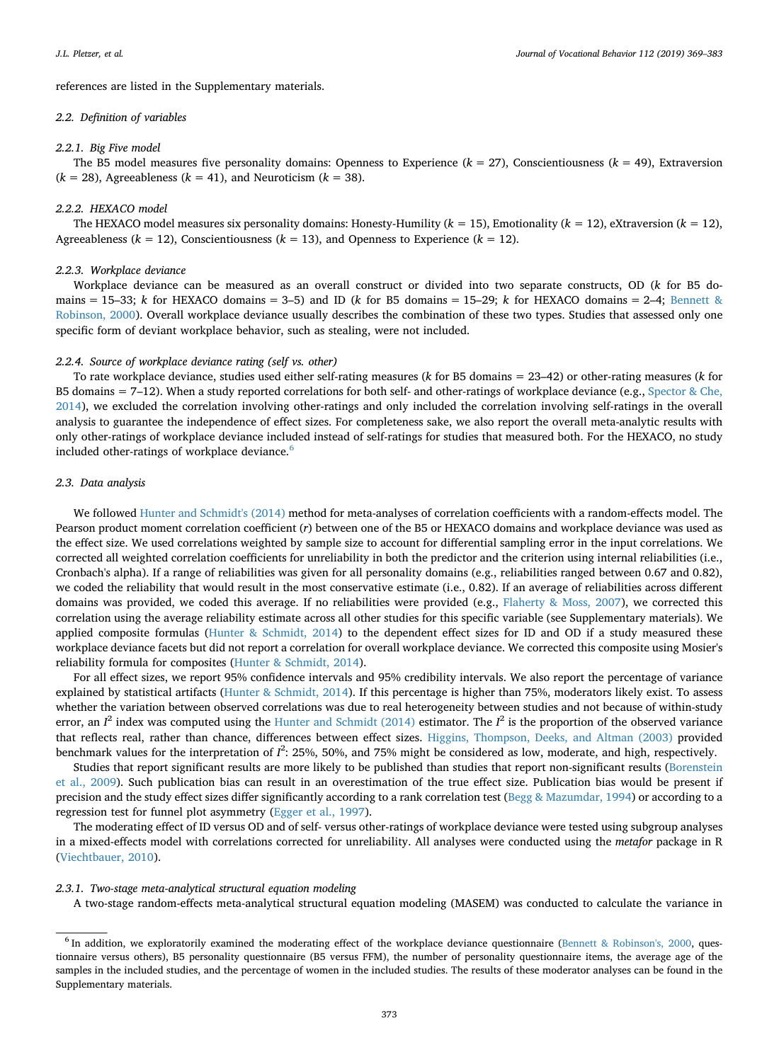references are listed in the Supplementary materials.

## *2.2. Definition of variables*

#### *2.2.1. Big Five model*

The B5 model measures five personality domains: Openness to Experience  $(k = 27)$ , Conscientiousness  $(k = 49)$ , Extraversion  $(k = 28)$ , Agreeableness  $(k = 41)$ , and Neuroticism  $(k = 38)$ .

#### *2.2.2. HEXACO model*

The HEXACO model measures six personality domains: Honesty-Humility ( $k = 15$ ), Emotionality ( $k = 12$ ), eXtraversion ( $k = 12$ ), Agreeableness  $(k = 12)$ , Conscientiousness  $(k = 13)$ , and Openness to Experience  $(k = 12)$ .

## *2.2.3. Workplace deviance*

Workplace deviance can be measured as an overall construct or divided into two separate constructs, OD (*k* for B5 domains  $= 15-33$ ; *k* for HEXACO domains  $= 3-5$ ) and ID (*k* for B5 domains  $= 15-29$ ; *k* for HEXACO domains  $= 2-4$ ; [Bennett &](#page-12-7) [Robinson, 2000\)](#page-12-7). Overall workplace deviance usually describes the combination of these two types. Studies that assessed only one specific form of deviant workplace behavior, such as stealing, were not included.

## *2.2.4. Source of workplace deviance rating (self vs. other)*

To rate workplace deviance, studies used either self-rating measures (*k* for B5 domains = 23–42) or other-rating measures (*k* for B5 domains  $= 7-12$ ). When a study reported correlations for both self- and other-ratings of workplace deviance (e.g., [Spector & Che,](#page-14-13) [2014\)](#page-14-13), we excluded the correlation involving other-ratings and only included the correlation involving self-ratings in the overall analysis to guarantee the independence of effect sizes. For completeness sake, we also report the overall meta-analytic results with only other-ratings of workplace deviance included instead of self-ratings for studies that measured both. For the HEXACO, no study included other-ratings of workplace deviance.<sup>[6](#page-4-0)</sup>

#### *2.3. Data analysis*

We followed [Hunter and Schmidt's \(2014\)](#page-13-18) method for meta-analyses of correlation coefficients with a random-effects model. The Pearson product moment correlation coefficient (*r*) between one of the B5 or HEXACO domains and workplace deviance was used as the effect size. We used correlations weighted by sample size to account for differential sampling error in the input correlations. We corrected all weighted correlation coefficients for unreliability in both the predictor and the criterion using internal reliabilities (i.e., Cronbach's alpha). If a range of reliabilities was given for all personality domains (e.g., reliabilities ranged between 0.67 and 0.82), we coded the reliability that would result in the most conservative estimate (i.e., 0.82). If an average of reliabilities across different domains was provided, we coded this average. If no reliabilities were provided (e.g., [Flaherty & Moss, 2007](#page-13-19)), we corrected this correlation using the average reliability estimate across all other studies for this specific variable (see Supplementary materials). We applied composite formulas ([Hunter & Schmidt, 2014](#page-13-18)) to the dependent effect sizes for ID and OD if a study measured these workplace deviance facets but did not report a correlation for overall workplace deviance. We corrected this composite using Mosier's reliability formula for composites ([Hunter & Schmidt, 2014](#page-13-18)).

For all effect sizes, we report 95% confidence intervals and 95% credibility intervals. We also report the percentage of variance explained by statistical artifacts ([Hunter & Schmidt, 2014\)](#page-13-18). If this percentage is higher than 75%, moderators likely exist. To assess whether the variation between observed correlations was due to real heterogeneity between studies and not because of within-study error, an  $I^2$  index was computed using the [Hunter and Schmidt \(2014\)](#page-13-18) estimator. The  $I^2$  is the proportion of the observed variance that reflects real, rather than chance, differences between effect sizes. [Higgins, Thompson, Deeks, and Altman \(2003\)](#page-13-20) provided benchmark values for the interpretation of  $I^2$ : 25%, 50%, and 75% might be considered as low, moderate, and high, respectively.

Studies that report significant results are more likely to be published than studies that report non-significant results ([Borenstein](#page-12-15) [et al., 2009](#page-12-15)). Such publication bias can result in an overestimation of the true effect size. Publication bias would be present if precision and the study effect sizes differ significantly according to a rank correlation test [\(Begg & Mazumdar, 1994](#page-12-16)) or according to a regression test for funnel plot asymmetry ([Egger et al., 1997](#page-13-21)).

The moderating effect of ID versus OD and of self- versus other-ratings of workplace deviance were tested using subgroup analyses in a mixed-effects model with correlations corrected for unreliability. All analyses were conducted using the *metafor* package in R [\(Viechtbauer, 2010](#page-14-14)).

#### *2.3.1. Two-stage meta-analytical structural equation modeling*

A two-stage random-effects meta-analytical structural equation modeling (MASEM) was conducted to calculate the variance in

<span id="page-4-0"></span> $6$  In addition, we exploratorily examined the moderating effect of the workplace deviance questionnaire ([Bennett & Robinson's, 2000](#page-12-7), questionnaire versus others), B5 personality questionnaire (B5 versus FFM), the number of personality questionnaire items, the average age of the samples in the included studies, and the percentage of women in the included studies. The results of these moderator analyses can be found in the Supplementary materials.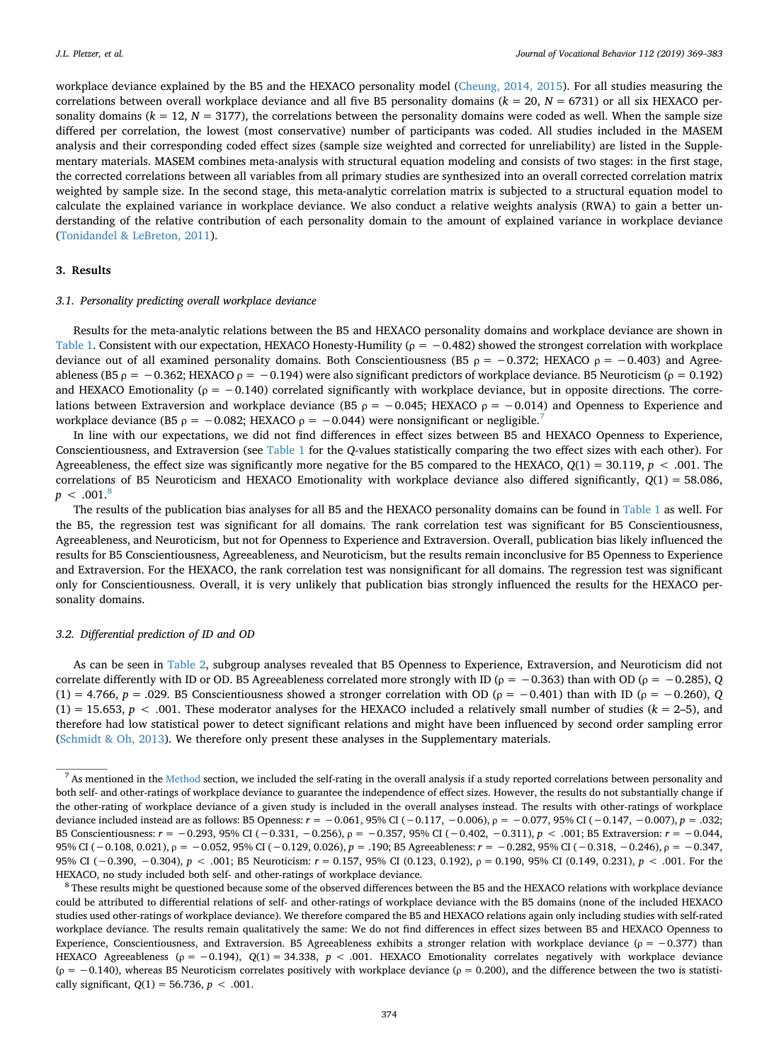workplace deviance explained by the B5 and the HEXACO personality model ([Cheung, 2014, 2015](#page-12-17)). For all studies measuring the correlations between overall workplace deviance and all five B5 personality domains  $(k = 20, N = 6731)$  or all six HEXACO personality domains  $(k = 12, N = 3177)$ , the correlations between the personality domains were coded as well. When the sample size differed per correlation, the lowest (most conservative) number of participants was coded. All studies included in the MASEM analysis and their corresponding coded effect sizes (sample size weighted and corrected for unreliability) are listed in the Supplementary materials. MASEM combines meta-analysis with structural equation modeling and consists of two stages: in the first stage, the corrected correlations between all variables from all primary studies are synthesized into an overall corrected correlation matrix weighted by sample size. In the second stage, this meta-analytic correlation matrix is subjected to a structural equation model to calculate the explained variance in workplace deviance. We also conduct a relative weights analysis (RWA) to gain a better understanding of the relative contribution of each personality domain to the amount of explained variance in workplace deviance [\(Tonidandel & LeBreton, 2011](#page-14-15)).

## **3. Results**

### *3.1. Personality predicting overall workplace deviance*

Results for the meta-analytic relations between the B5 and HEXACO personality domains and workplace deviance are shown in [Table 1](#page-6-0). Consistent with our expectation, HEXACO Honesty-Humility (*ρ* = −0.482) showed the strongest correlation with workplace deviance out of all examined personality domains. Both Conscientiousness (B5 *ρ* = −0.372; HEXACO *ρ* = −0.403) and Agreeableness (B5 *ρ* = −0.362; HEXACO *ρ* = −0.194) were also significant predictors of workplace deviance. B5 Neuroticism (*ρ* = 0.192) and HEXACO Emotionality ( $\rho = -0.140$ ) correlated significantly with workplace deviance, but in opposite directions. The correlations between Extraversion and workplace deviance (B5 *ρ* = −0.045; HEXACO *ρ* = −0.014) and Openness to Experience and workplace deviance (B5  $ρ = -0.082$ ; HEXACO  $ρ = -0.044$ ) were nonsignificant or negligible.<sup>7</sup>

In line with our expectations, we did not find differences in effect sizes between B5 and HEXACO Openness to Experience, Conscientiousness, and Extraversion (see [Table 1](#page-6-0) for the *Q*-values statistically comparing the two effect sizes with each other). For Agreeableness, the effect size was significantly more negative for the B5 compared to the HEXACO, *Q*(1) = 30.119, *p* < .001. The correlations of B5 Neuroticism and HEXACO Emotionality with workplace deviance also differed significantly, *Q*(1) = 58.086,  $p < .001$ .<sup>8</sup>

The results of the publication bias analyses for all B5 and the HEXACO personality domains can be found in [Table 1](#page-6-0) as well. For the B5, the regression test was significant for all domains. The rank correlation test was significant for B5 Conscientiousness, Agreeableness, and Neuroticism, but not for Openness to Experience and Extraversion. Overall, publication bias likely influenced the results for B5 Conscientiousness, Agreeableness, and Neuroticism, but the results remain inconclusive for B5 Openness to Experience and Extraversion. For the HEXACO, the rank correlation test was nonsignificant for all domains. The regression test was significant only for Conscientiousness. Overall, it is very unlikely that publication bias strongly influenced the results for the HEXACO personality domains.

## *3.2. Differential prediction of ID and OD*

As can be seen in [Table 2,](#page-7-0) subgroup analyses revealed that B5 Openness to Experience, Extraversion, and Neuroticism did not correlate differently with ID or OD. B5 Agreeableness correlated more strongly with ID (*ρ* = −0.363) than with OD (*ρ* = −0.285), *Q* (1) = 4.766, *p* = .029. B5 Conscientiousness showed a stronger correlation with OD (*ρ* = −0.401) than with ID (*ρ* = −0.260), *Q* (1) = 15.653, *p* < .001. These moderator analyses for the HEXACO included a relatively small number of studies (*k* = 2–5), and therefore had low statistical power to detect significant relations and might have been influenced by second order sampling error [\(Schmidt & Oh, 2013\)](#page-14-16). We therefore only present these analyses in the Supplementary materials.

<span id="page-5-0"></span><sup>&</sup>lt;sup>7</sup> As mentioned in the [Method](#page-3-1) section, we included the self-rating in the overall analysis if a study reported correlations between personality and both self- and other-ratings of workplace deviance to guarantee the independence of effect sizes. However, the results do not substantially change if the other-rating of workplace deviance of a given study is included in the overall analyses instead. The results with other-ratings of workplace deviance included instead are as follows: B5 Openness: *r* = −0.061, 95% CI (−0.117, −0.006), *ρ* = −0.077, 95% CI (−0.147, −0.007), *p* = .032; B5 Conscientiousness: *r* = −0.293, 95% CI (−0.331, −0.256), *ρ* = −0.357, 95% CI (−0.402, −0.311), *p* < .001; B5 Extraversion: *r* = −0.044, 95% CI (−0.108, 0.021), *ρ* = −0.052, 95% CI (−0.129, 0.026), *p* = .190; B5 Agreeableness: *r* = −0.282, 95% CI (−0.318, −0.246), *ρ* = −0.347, 95% CI (−0.390, −0.304), *p* < .001; B5 Neuroticism: *r* = 0.157, 95% CI (0.123, 0.192), *ρ* = 0.190, 95% CI (0.149, 0.231), *p* < .001. For the HEXACO, no study included both self- and other-ratings of workplace deviance.

<span id="page-5-1"></span><sup>&</sup>lt;sup>8</sup> These results might be questioned because some of the observed differences between the B5 and the HEXACO relations with workplace deviance could be attributed to differential relations of self- and other-ratings of workplace deviance with the B5 domains (none of the included HEXACO studies used other-ratings of workplace deviance). We therefore compared the B5 and HEXACO relations again only including studies with self-rated workplace deviance. The results remain qualitatively the same: We do not find differences in effect sizes between B5 and HEXACO Openness to Experience, Conscientiousness, and Extraversion. B5 Agreeableness exhibits a stronger relation with workplace deviance (*ρ* = −0.377) than HEXACO Agreeableness (*ρ* = −0.194), *Q*(1) = 34.338, *p* < .001. HEXACO Emotionality correlates negatively with workplace deviance (*ρ* = −0.140), whereas B5 Neuroticism correlates positively with workplace deviance (*ρ* = 0.200), and the difference between the two is statistically significant, *Q*(1) = 56.736, *p* < .001.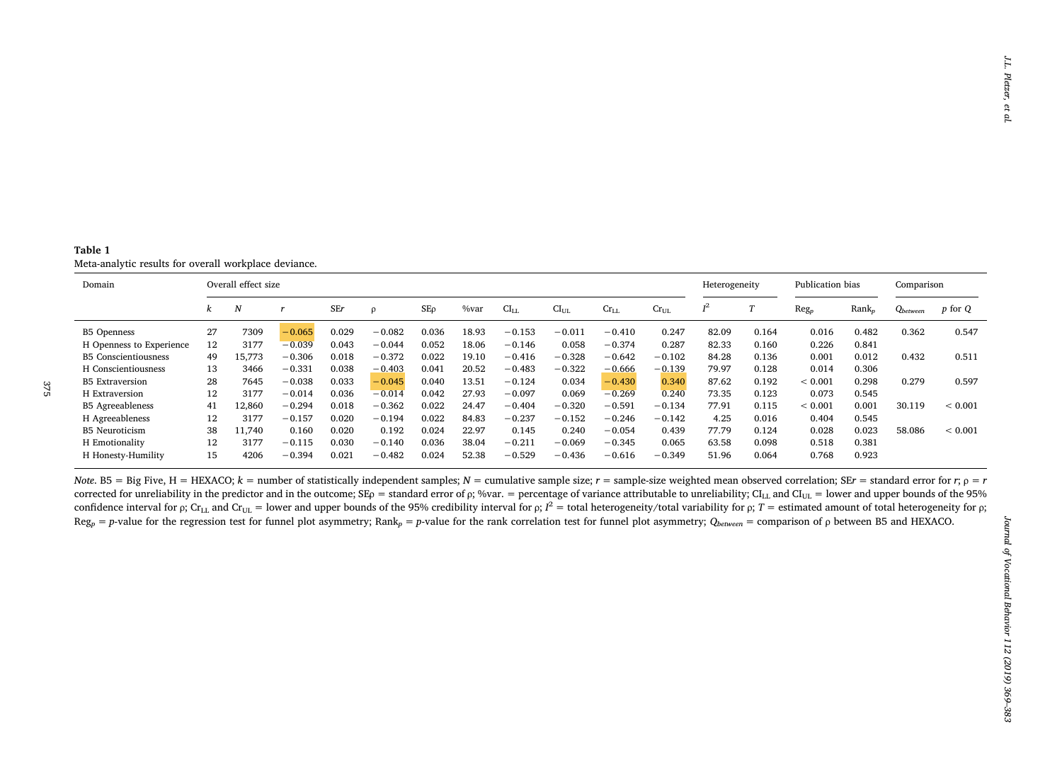<span id="page-6-0"></span>

| Table 1                                               |  |  |
|-------------------------------------------------------|--|--|
| Meta-analytic results for overall workplace deviance. |  |  |

| Domain                      |          | Overall effect size |          |            |          |       |       |           |           | Heterogeneity |           | Publication bias |       | Comparison  |                   |               |             |
|-----------------------------|----------|---------------------|----------|------------|----------|-------|-------|-----------|-----------|---------------|-----------|------------------|-------|-------------|-------------------|---------------|-------------|
|                             | $\kappa$ | N                   |          | <b>SEr</b> | $\Omega$ | SEo   | %var  | $CI_{LL}$ | $CI_{UL}$ | $Cr_{LL}$     | $Cr_{UL}$ | т2               |       | $Reg_p$     | Rank <sub>n</sub> | $Q_{between}$ | p for Q     |
| <b>B5 Openness</b>          | 27       | 7309                | $-0.065$ | 0.029      | $-0.082$ | 0.036 | 18.93 | $-0.153$  | $-0.01$   | $-0.410$      | 0.247     | 82.09            | 0.164 | 0.016       | 0.482             | 0.362         | 0.547       |
| H Openness to Experience    | 12       | 3177                | $-0.039$ | 0.043      | $-0.044$ | 0.052 | 18.06 | $-0.146$  | 0.058     | $-0.374$      | 0.287     | 82.33            | 0.160 | 0.226       | 0.841             |               |             |
| <b>B5</b> Conscientiousness | 49       | 15,773              | $-0.306$ | 0.018      | $-0.372$ | 0.022 | 19.10 | $-0.416$  | $-0.328$  | $-0.642$      | $-0.102$  | 84.28            | 0.136 | 0.001       | 0.012             | 0.432         | 0.511       |
| H Conscientiousness         | 13       | 3466                | $-0.331$ | 0.038      | $-0.403$ | 0.041 | 20.52 | $-0.483$  | $-0.322$  | $-0.666$      | $-0.139$  | 79.97            | 0.128 | 0.014       | 0.306             |               |             |
| <b>B5</b> Extraversion      | 28       | 7645                | $-0.038$ | 0.033      | $-0.045$ | 0.040 | 13.51 | $-0.124$  | 0.034     | $-0.430$      | 0.340     | 87.62            | 0.192 | ${}< 0.001$ | 0.298             | 0.279         | 0.597       |
| H Extraversion              | 12       | 3177                | $-0.014$ | 0.036      | $-0.014$ | 0.042 | 27.93 | $-0.097$  | 0.069     | $-0.269$      | 0.240     | 73.35            | 0.123 | 0.073       | 0.545             |               |             |
| <b>B5</b> Agreeableness     | 41       | 2,860               | $-0.294$ | 0.018      | $-0.362$ | 0.022 | 24.47 | $-0.404$  | $-0.320$  | $-0.591$      | $-0.134$  | 77.91            | 0.115 | ${}< 0.001$ | 0.001             | 30.119        | ${}< 0.001$ |
| H Agreeableness             | 12       | 3177                | $-0.157$ | 0.020      | $-0.194$ | 0.022 | 84.83 | $-0.237$  | $-0.152$  | $-0.246$      | $-0.142$  | 4.25             | 0.016 | 0.404       | 0.545             |               |             |
| <b>B5</b> Neuroticism       | 38       | 1.740               | 0.160    | 0.020      | 0.192    | 0.024 | 22.97 | 0.145     | 0.240     | $-0.054$      | 0.439     | 77.79            | 0.124 | 0.028       | 0.023             | 58.086        | ${}< 0.001$ |
| H Emotionality              | 12       | 3177                | $-0.115$ | 0.030      | $-0.140$ | 0.036 | 38.04 | $-0.211$  | $-0.069$  | $-0.345$      | 0.065     | 63.58            | 0.098 | 0.518       | 0.381             |               |             |
| H Honesty-Humility          | 15       | 4206                | $-0.394$ | 0.021      | $-0.482$ | 0.024 | 52.38 | $-0.529$  | $-0.436$  | $-0.616$      | $-0.349$  | 51.96            | 0.064 | 0.768       | 0.923             |               |             |

Note. B5 = Big Five, H = HEXACO;  $k$  = number of statistically independent samples;  $N$  = cumulative sample size;  $r$  = sample-size weighted mean observed correlation; SE $r$  = standard error for  $r$ ;  $\rho$  =  $r$ corrected for unreliability in the predictor and in the outcome; SE<sub>P</sub> = standard error of  $\rho$ ; %var. = percentage of variance attributable to unreliability; CI<sub>LL</sub> and CI<sub>UL</sub> = lower and upper bounds of the 95% confidence interval for ρ; Cr<sub>LL</sub> and Cr<sub>UL</sub> = lower and upper bounds of the 95% credibility interval for ρ;  $I^2$  = total heterogeneity/total variability for *p*;  $T$  = estimated amount of total heterogeneity for *p*;  $Reg_p = p$ -value for the regression test for funnel plot asymmetry; Rank<sub>p</sub> = p-value for the rank correlation test for funnel plot asymmetry; Q<sub>between</sub> = comparison of p between B5 and HEXACO.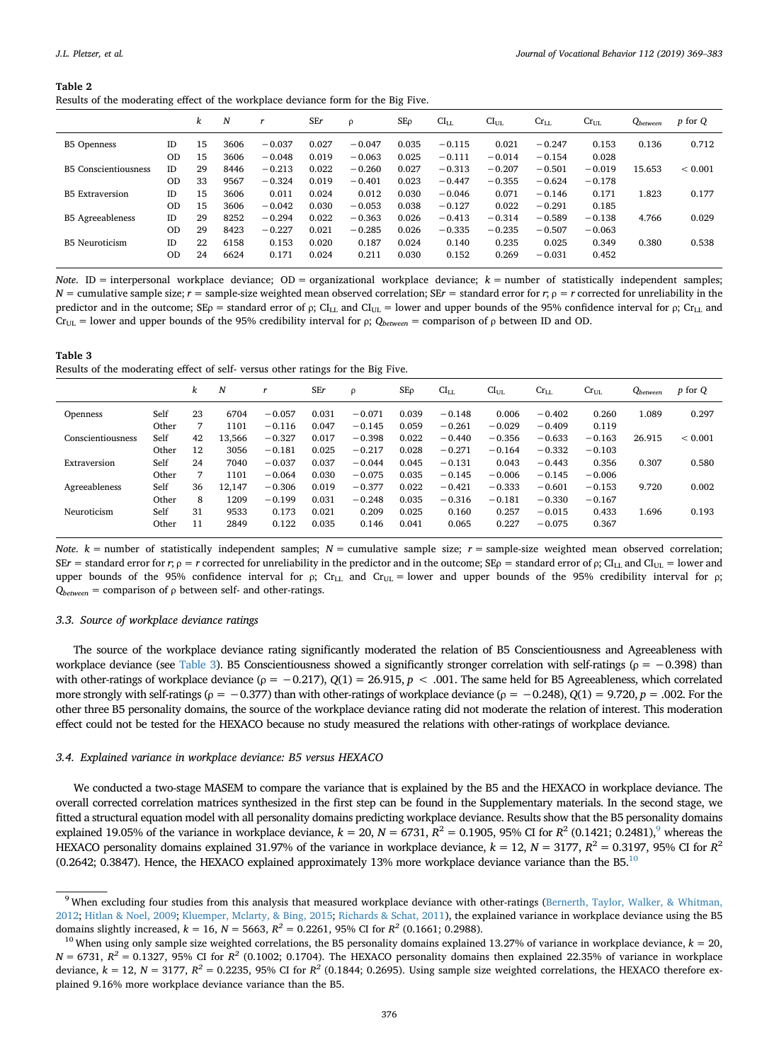<span id="page-7-0"></span>

| Table 2                                                                           |  |  |
|-----------------------------------------------------------------------------------|--|--|
| Results of the moderating effect of the workplace deviance form for the Big Five. |  |  |

|                             |           | k  | N    |          | <b>SEr</b> | ρ        | SΕρ   | $CI_{LL}$ | $\rm{CI}_{UL}$ | $Cr_{LL}$ | $Cr_{UL}$ | $Q_{between}$ | p for Q     |
|-----------------------------|-----------|----|------|----------|------------|----------|-------|-----------|----------------|-----------|-----------|---------------|-------------|
| <b>B5</b> Openness          | ID        | 15 | 3606 | $-0.037$ | 0.027      | $-0.047$ | 0.035 | $-0.115$  | 0.021          | $-0.247$  | 0.153     | 0.136         | 0.712       |
|                             | <b>OD</b> | 15 | 3606 | $-0.048$ | 0.019      | $-0.063$ | 0.025 | $-0.111$  | $-0.014$       | $-0.154$  | 0.028     |               |             |
| <b>B5</b> Conscientiousness | ID        | 29 | 8446 | $-0.213$ | 0.022      | $-0.260$ | 0.027 | $-0.313$  | $-0.207$       | $-0.501$  | $-0.019$  | 15.653        | ${}< 0.001$ |
|                             | <b>OD</b> | 33 | 9567 | $-0.324$ | 0.019      | $-0.401$ | 0.023 | $-0.447$  | $-0.355$       | $-0.624$  | $-0.178$  |               |             |
| <b>B5</b> Extraversion      | ID        | 15 | 3606 | 0.011    | 0.024      | 0.012    | 0.030 | $-0.046$  | 0.071          | $-0.146$  | 0.171     | 1.823         | 0.177       |
|                             | <b>OD</b> | 15 | 3606 | $-0.042$ | 0.030      | $-0.053$ | 0.038 | $-0.127$  | 0.022          | $-0.291$  | 0.185     |               |             |
| <b>B5</b> Agreeableness     | ID        | 29 | 8252 | $-0.294$ | 0.022      | $-0.363$ | 0.026 | $-0.413$  | $-0.314$       | $-0.589$  | $-0.138$  | 4.766         | 0.029       |
|                             | <b>OD</b> | 29 | 8423 | $-0.227$ | 0.021      | $-0.285$ | 0.026 | $-0.335$  | $-0.235$       | $-0.507$  | $-0.063$  |               |             |
| <b>B5</b> Neuroticism       | ID        | 22 | 6158 | 0.153    | 0.020      | 0.187    | 0.024 | 0.140     | 0.235          | 0.025     | 0.349     | 0.380         | 0.538       |
|                             | <b>OD</b> | 24 | 6624 | 0.171    | 0.024      | 0.211    | 0.030 | 0.152     | 0.269          | $-0.031$  | 0.452     |               |             |
|                             |           |    |      |          |            |          |       |           |                |           |           |               |             |

*Note*. ID = interpersonal workplace deviance; OD = organizational workplace deviance;  $k$  = number of statistically independent samples;  $N =$  cumulative sample size;  $r =$  sample-size weighted mean observed correlation; SE $r =$  standard error for  $r$ ;  $\rho = r$  corrected for unreliability in the predictor and in the outcome;  $SE_p$  = standard error of  $\rho$ ; CI<sub>LL</sub> and CI<sub>UL</sub> = lower and upper bounds of the 95% confidence interval for  $\rho$ ; Cr<sub>LL</sub> and Cr<sub>UL</sub> = lower and upper bounds of the 95% credibility interval for *ρ*;  $Q_{between}$  = comparison of *ρ* between ID and OD.

<span id="page-7-1"></span>

| Table 3                                                                         |
|---------------------------------------------------------------------------------|
| Results of the moderating effect of self-versus other ratings for the Big Five. |

|                   |       | k  | N      |          | SEr   | ρ        | $SE\rho$ | $CI_{LL}$ | CI <sub>UL</sub> | $Cr_{LL}$ | $Cr_{UL}$ | $Q_{between}$ | $p$ for $Q$ |
|-------------------|-------|----|--------|----------|-------|----------|----------|-----------|------------------|-----------|-----------|---------------|-------------|
| <b>Openness</b>   | Self  | 23 | 6704   | $-0.057$ | 0.031 | $-0.071$ | 0.039    | $-0.148$  | 0.006            | $-0.402$  | 0.260     | 1.089         | 0.297       |
|                   | Other | 7  | 1101   | $-0.116$ | 0.047 | $-0.145$ | 0.059    | $-0.261$  | $-0.029$         | $-0.409$  | 0.119     |               |             |
| Conscientiousness | Self  | 42 | 13.566 | $-0.327$ | 0.017 | $-0.398$ | 0.022    | $-0.440$  | $-0.356$         | $-0.633$  | $-0.163$  | 26.915        | ${}< 0.001$ |
|                   | Other | 12 | 3056   | $-0.181$ | 0.025 | $-0.217$ | 0.028    | $-0.271$  | $-0.164$         | $-0.332$  | $-0.103$  |               |             |
| Extraversion      | Self  | 24 | 7040   | $-0.037$ | 0.037 | $-0.044$ | 0.045    | $-0.131$  | 0.043            | $-0.443$  | 0.356     | 0.307         | 0.580       |
|                   | Other | 7  | 1101   | $-0.064$ | 0.030 | $-0.075$ | 0.035    | $-0.145$  | $-0.006$         | $-0.145$  | $-0.006$  |               |             |
| Agreeableness     | Self  | 36 | 12.147 | $-0.306$ | 0.019 | $-0.377$ | 0.022    | $-0.421$  | $-0.333$         | $-0.601$  | $-0.153$  | 9.720         | 0.002       |
|                   | Other | 8  | 1209   | $-0.199$ | 0.031 | $-0.248$ | 0.035    | $-0.316$  | $-0.181$         | $-0.330$  | $-0.167$  |               |             |
| Neuroticism       | Self  | 31 | 9533   | 0.173    | 0.021 | 0.209    | 0.025    | 0.160     | 0.257            | $-0.015$  | 0.433     | 1.696         | 0.193       |
|                   | Other | 11 | 2849   | 0.122    | 0.035 | 0.146    | 0.041    | 0.065     | 0.227            | $-0.075$  | 0.367     |               |             |

*Note.*  $k =$  number of statistically independent samples;  $N =$  cumulative sample size;  $r =$  sample-size weighted mean observed correlation; SE*r* = standard error for *r*;  $p = r$  corrected for unreliability in the predictor and in the outcome; SE<sub>*p*</sub> = standard error of *p*; CI<sub>LL</sub> and CI<sub>UL</sub> = lower and upper bounds of the 95% confidence interval for  $\rho$ ; Cr<sub>LL</sub> and Cr<sub>UL</sub> = lower and upper bounds of the 95% credibility interval for  $\rho$ ; *Qbetween* = comparison of *ρ* between self- and other-ratings.

## *3.3. Source of workplace deviance ratings*

The source of the workplace deviance rating significantly moderated the relation of B5 Conscientiousness and Agreeableness with workplace deviance (see [Table 3](#page-7-1)). B5 Conscientiousness showed a significantly stronger correlation with self-ratings (*ρ* = −0.398) than with other-ratings of workplace deviance (*ρ* = −0.217), *Q*(1) = 26.915, *p* < .001. The same held for B5 Agreeableness, which correlated more strongly with self-ratings (*ρ* = −0.377) than with other-ratings of workplace deviance (*ρ* = −0.248), *Q*(1) = 9.720, *p* = .002. For the other three B5 personality domains, the source of the workplace deviance rating did not moderate the relation of interest. This moderation effect could not be tested for the HEXACO because no study measured the relations with other-ratings of workplace deviance.

## *3.4. Explained variance in workplace deviance: B5 versus HEXACO*

We conducted a two-stage MASEM to compare the variance that is explained by the B5 and the HEXACO in workplace deviance. The overall corrected correlation matrices synthesized in the first step can be found in the Supplementary materials. In the second stage, we fitted a structural equation model with all personality domains predicting workplace deviance. Results show that the B5 personality domains explained 1[9](#page-7-2).05% of the variance in workplace deviance,  $k = 20$ ,  $N = 6731$ ,  $R^2 = 0.1905$ , 95% CI for  $R^2$  (0.1421; 0.2481),<sup>9</sup> whereas the HEXACO personality domains explained 31.97% of the variance in workplace deviance,  $k = 12$ ,  $N = 3177$ ,  $R^2 = 0.3197$ , 95% CI for  $R^2$ (0.2642; 0.3847). Hence, the HEXACO explained approximately 13% more workplace deviance variance than the B5.[10](#page-7-3)

<span id="page-7-2"></span><sup>&</sup>lt;sup>9</sup> When excluding four studies from this analysis that measured workplace deviance with other-ratings ([Bernerth, Taylor, Walker, & Whitman,](#page-12-18) [2012](#page-12-18); [Hitlan & Noel, 2009](#page-13-22); [Kluemper, Mclarty, & Bing, 2015;](#page-13-23) [Richards & Schat, 2011](#page-14-17)), the explained variance in workplace deviance using the B5 domains slightly increased,  $k = 16$ ,  $N = 5663$ ,  $R^2 = 0.2261$ , 95% CI for  $R^2$  (0.1661; 0.2988).

<span id="page-7-3"></span><sup>&</sup>lt;sup>10</sup> When using only sample size weighted correlations, the B5 personality domains explained 13.27% of variance in workplace deviance,  $k = 20$ ,  $N = 6731$ ,  $R^2 = 0.1327$ , 95% CI for  $R^2$  (0.1002; 0.1704). The HEXACO personality domains then explained 22.35% of variance in workplace deviance,  $k = 12$ ,  $N = 3177$ ,  $R^2 = 0.2235$ , 95% CI for  $R^2$  (0.1844; 0.2695). Using sample size weighted correlations, the HEXACO therefore explained 9.16% more workplace deviance variance than the B5.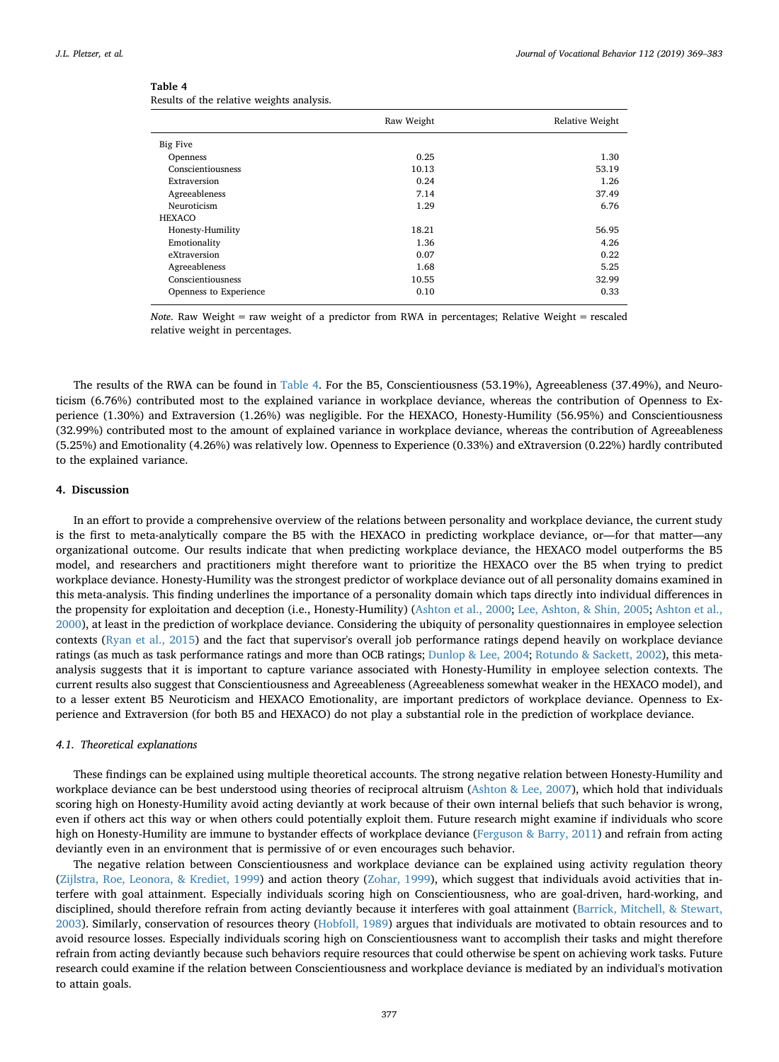## <span id="page-8-0"></span>**Table 4**

|  |  | Results of the relative weights analysis. |  |
|--|--|-------------------------------------------|--|
|  |  |                                           |  |

|                        | Raw Weight | Relative Weight |
|------------------------|------------|-----------------|
| <b>Big Five</b>        |            |                 |
| Openness               | 0.25       | 1.30            |
| Conscientiousness      | 10.13      | 53.19           |
| Extraversion           | 0.24       | 1.26            |
| Agreeableness          | 7.14       | 37.49           |
| Neuroticism            | 1.29       | 6.76            |
| HEXACO                 |            |                 |
| Honesty-Humility       | 18.21      | 56.95           |
| Emotionality           | 1.36       | 4.26            |
| eXtraversion           | 0.07       | 0.22            |
| Agreeableness          | 1.68       | 5.25            |
| Conscientiousness      | 10.55      | 32.99           |
| Openness to Experience | 0.10       | 0.33            |

*Note*. Raw Weight = raw weight of a predictor from RWA in percentages; Relative Weight = rescaled relative weight in percentages.

The results of the RWA can be found in [Table 4.](#page-8-0) For the B5, Conscientiousness (53.19%), Agreeableness (37.49%), and Neuroticism (6.76%) contributed most to the explained variance in workplace deviance, whereas the contribution of Openness to Experience (1.30%) and Extraversion (1.26%) was negligible. For the HEXACO, Honesty-Humility (56.95%) and Conscientiousness (32.99%) contributed most to the amount of explained variance in workplace deviance, whereas the contribution of Agreeableness (5.25%) and Emotionality (4.26%) was relatively low. Openness to Experience (0.33%) and eXtraversion (0.22%) hardly contributed to the explained variance.

## **4. Discussion**

In an effort to provide a comprehensive overview of the relations between personality and workplace deviance, the current study is the first to meta-analytically compare the B5 with the HEXACO in predicting workplace deviance, or—for that matter—any organizational outcome. Our results indicate that when predicting workplace deviance, the HEXACO model outperforms the B5 model, and researchers and practitioners might therefore want to prioritize the HEXACO over the B5 when trying to predict workplace deviance. Honesty-Humility was the strongest predictor of workplace deviance out of all personality domains examined in this meta-analysis. This finding underlines the importance of a personality domain which taps directly into individual differences in the propensity for exploitation and deception (i.e., Honesty-Humility) [\(Ashton et al., 2000;](#page-12-11) [Lee, Ashton, & Shin, 2005;](#page-13-24) [Ashton et al.,](#page-12-11) [2000\)](#page-12-11), at least in the prediction of workplace deviance. Considering the ubiquity of personality questionnaires in employee selection contexts [\(Ryan et al., 2015](#page-14-18)) and the fact that supervisor's overall job performance ratings depend heavily on workplace deviance ratings (as much as task performance ratings and more than OCB ratings; [Dunlop & Lee, 2004;](#page-13-25) [Rotundo & Sackett, 2002\)](#page-14-19), this metaanalysis suggests that it is important to capture variance associated with Honesty-Humility in employee selection contexts. The current results also suggest that Conscientiousness and Agreeableness (Agreeableness somewhat weaker in the HEXACO model), and to a lesser extent B5 Neuroticism and HEXACO Emotionality, are important predictors of workplace deviance. Openness to Experience and Extraversion (for both B5 and HEXACO) do not play a substantial role in the prediction of workplace deviance.

## *4.1. Theoretical explanations*

These findings can be explained using multiple theoretical accounts. The strong negative relation between Honesty-Humility and workplace deviance can be best understood using theories of reciprocal altruism ([Ashton & Lee, 2007\)](#page-12-10), which hold that individuals scoring high on Honesty-Humility avoid acting deviantly at work because of their own internal beliefs that such behavior is wrong, even if others act this way or when others could potentially exploit them. Future research might examine if individuals who score high on Honesty-Humility are immune to bystander effects of workplace deviance ([Ferguson & Barry, 2011\)](#page-13-26) and refrain from acting deviantly even in an environment that is permissive of or even encourages such behavior.

The negative relation between Conscientiousness and workplace deviance can be explained using activity regulation theory [\(Zijlstra, Roe, Leonora, & Krediet, 1999\)](#page-14-20) and action theory [\(Zohar, 1999\)](#page-14-21), which suggest that individuals avoid activities that interfere with goal attainment. Especially individuals scoring high on Conscientiousness, who are goal-driven, hard-working, and disciplined, should therefore refrain from acting deviantly because it interferes with goal attainment ([Barrick, Mitchell, & Stewart,](#page-12-19) [2003\)](#page-12-19). Similarly, conservation of resources theory [\(Hobfoll, 1989](#page-13-27)) argues that individuals are motivated to obtain resources and to avoid resource losses. Especially individuals scoring high on Conscientiousness want to accomplish their tasks and might therefore refrain from acting deviantly because such behaviors require resources that could otherwise be spent on achieving work tasks. Future research could examine if the relation between Conscientiousness and workplace deviance is mediated by an individual's motivation to attain goals.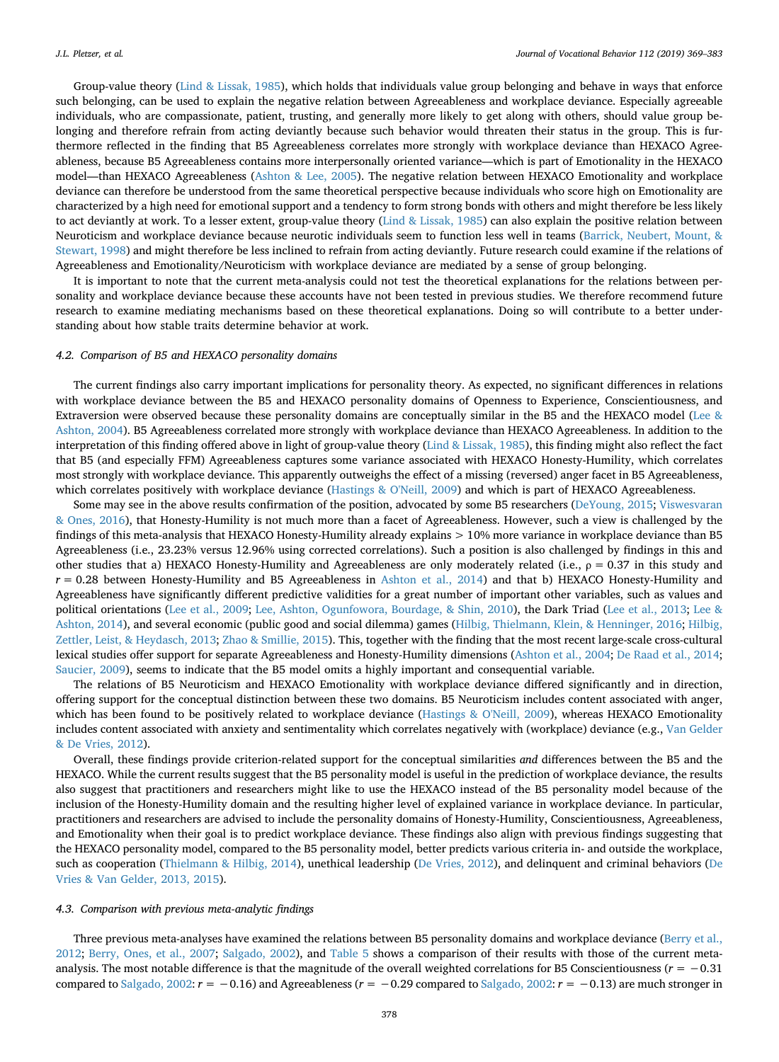Group-value theory ([Lind & Lissak, 1985](#page-13-28)), which holds that individuals value group belonging and behave in ways that enforce such belonging, can be used to explain the negative relation between Agreeableness and workplace deviance. Especially agreeable individuals, who are compassionate, patient, trusting, and generally more likely to get along with others, should value group belonging and therefore refrain from acting deviantly because such behavior would threaten their status in the group. This is furthermore reflected in the finding that B5 Agreeableness correlates more strongly with workplace deviance than HEXACO Agreeableness, because B5 Agreeableness contains more interpersonally oriented variance—which is part of Emotionality in the HEXACO model—than HEXACO Agreeableness [\(Ashton & Lee, 2005\)](#page-12-2). The negative relation between HEXACO Emotionality and workplace deviance can therefore be understood from the same theoretical perspective because individuals who score high on Emotionality are characterized by a high need for emotional support and a tendency to form strong bonds with others and might therefore be less likely to act deviantly at work. To a lesser extent, group-value theory ([Lind & Lissak, 1985\)](#page-13-28) can also explain the positive relation between Neuroticism and workplace deviance because neurotic individuals seem to function less well in teams [\(Barrick, Neubert, Mount, &](#page-12-20) [Stewart, 1998](#page-12-20)) and might therefore be less inclined to refrain from acting deviantly. Future research could examine if the relations of Agreeableness and Emotionality/Neuroticism with workplace deviance are mediated by a sense of group belonging.

It is important to note that the current meta-analysis could not test the theoretical explanations for the relations between personality and workplace deviance because these accounts have not been tested in previous studies. We therefore recommend future research to examine mediating mechanisms based on these theoretical explanations. Doing so will contribute to a better understanding about how stable traits determine behavior at work.

#### *4.2. Comparison of B5 and HEXACO personality domains*

The current findings also carry important implications for personality theory. As expected, no significant differences in relations with workplace deviance between the B5 and HEXACO personality domains of Openness to Experience, Conscientiousness, and Extraversion were observed because these personality domains are conceptually similar in the B5 and the HEXACO model ([Lee &](#page-13-2) [Ashton, 2004](#page-13-2)). B5 Agreeableness correlated more strongly with workplace deviance than HEXACO Agreeableness. In addition to the interpretation of this finding offered above in light of group-value theory [\(Lind & Lissak, 1985](#page-13-28)), this finding might also reflect the fact that B5 (and especially FFM) Agreeableness captures some variance associated with HEXACO Honesty-Humility, which correlates most strongly with workplace deviance. This apparently outweighs the effect of a missing (reversed) anger facet in B5 Agreeableness, which correlates positively with workplace deviance ([Hastings & O'Neill, 2009\)](#page-13-5) and which is part of HEXACO Agreeableness.

Some may see in the above results confirmation of the position, advocated by some B5 researchers [\(DeYoung, 2015;](#page-13-29) [Viswesvaran](#page-14-22) [& Ones, 2016](#page-14-22)), that Honesty-Humility is not much more than a facet of Agreeableness. However, such a view is challenged by the findings of this meta-analysis that HEXACO Honesty-Humility already explains > 10% more variance in workplace deviance than B5 Agreeableness (i.e., 23.23% versus 12.96% using corrected correlations). Such a position is also challenged by findings in this and other studies that a) HEXACO Honesty-Humility and Agreeableness are only moderately related (i.e., *ρ* = 0.37 in this study and *r* = 0.28 between Honesty-Humility and B5 Agreeableness in [Ashton et al., 2014\)](#page-12-3) and that b) HEXACO Honesty-Humility and Agreeableness have significantly different predictive validities for a great number of important other variables, such as values and political orientations [\(Lee et al., 2009;](#page-13-30) [Lee, Ashton, Ogunfowora, Bourdage, & Shin, 2010\)](#page-13-31), the Dark Triad ([Lee et al., 2013](#page-13-32); [Lee &](#page-13-33) [Ashton, 2014\)](#page-13-33), and several economic (public good and social dilemma) games ([Hilbig, Thielmann, Klein, & Henninger, 2016;](#page-13-34) [Hilbig,](#page-13-35) [Zettler, Leist, & Heydasch, 2013](#page-13-35); [Zhao & Smillie, 2015](#page-14-23)). This, together with the finding that the most recent large-scale cross-cultural lexical studies offer support for separate Agreeableness and Honesty-Humility dimensions ([Ashton et al., 2004;](#page-12-21) [De Raad et al., 2014](#page-12-8); [Saucier, 2009\)](#page-14-5), seems to indicate that the B5 model omits a highly important and consequential variable.

The relations of B5 Neuroticism and HEXACO Emotionality with workplace deviance differed significantly and in direction, offering support for the conceptual distinction between these two domains. B5 Neuroticism includes content associated with anger, which has been found to be positively related to workplace deviance [\(Hastings & O'Neill, 2009](#page-13-5)), whereas HEXACO Emotionality includes content associated with anxiety and sentimentality which correlates negatively with (workplace) deviance (e.g., [Van Gelder](#page-14-6) [& De Vries, 2012](#page-14-6)).

Overall, these findings provide criterion-related support for the conceptual similarities *and* differences between the B5 and the HEXACO. While the current results suggest that the B5 personality model is useful in the prediction of workplace deviance, the results also suggest that practitioners and researchers might like to use the HEXACO instead of the B5 personality model because of the inclusion of the Honesty-Humility domain and the resulting higher level of explained variance in workplace deviance. In particular, practitioners and researchers are advised to include the personality domains of Honesty-Humility, Conscientiousness, Agreeableness, and Emotionality when their goal is to predict workplace deviance. These findings also align with previous findings suggesting that the HEXACO personality model, compared to the B5 personality model, better predicts various criteria in- and outside the workplace, such as cooperation ([Thielmann & Hilbig, 2014](#page-14-7)), unethical leadership [\(De Vries, 2012](#page-12-22)), and delinquent and criminal behaviors ([De](#page-12-12) [Vries & Van Gelder, 2013, 2015](#page-12-12)).

#### *4.3. Comparison with previous meta-analytic findings*

Three previous meta-analyses have examined the relations between B5 personality domains and workplace deviance [\(Berry et al.,](#page-12-1) [2012;](#page-12-1) [Berry, Ones, et al., 2007;](#page-12-0) [Salgado, 2002\)](#page-14-0), and [Table 5](#page-10-0) shows a comparison of their results with those of the current metaanalysis. The most notable difference is that the magnitude of the overall weighted correlations for B5 Conscientiousness (*r* = −0.31 compared to [Salgado, 2002](#page-14-0): *r* = −0.16) and Agreeableness (*r* = −0.29 compared to [Salgado, 2002](#page-14-0): *r* = −0.13) are much stronger in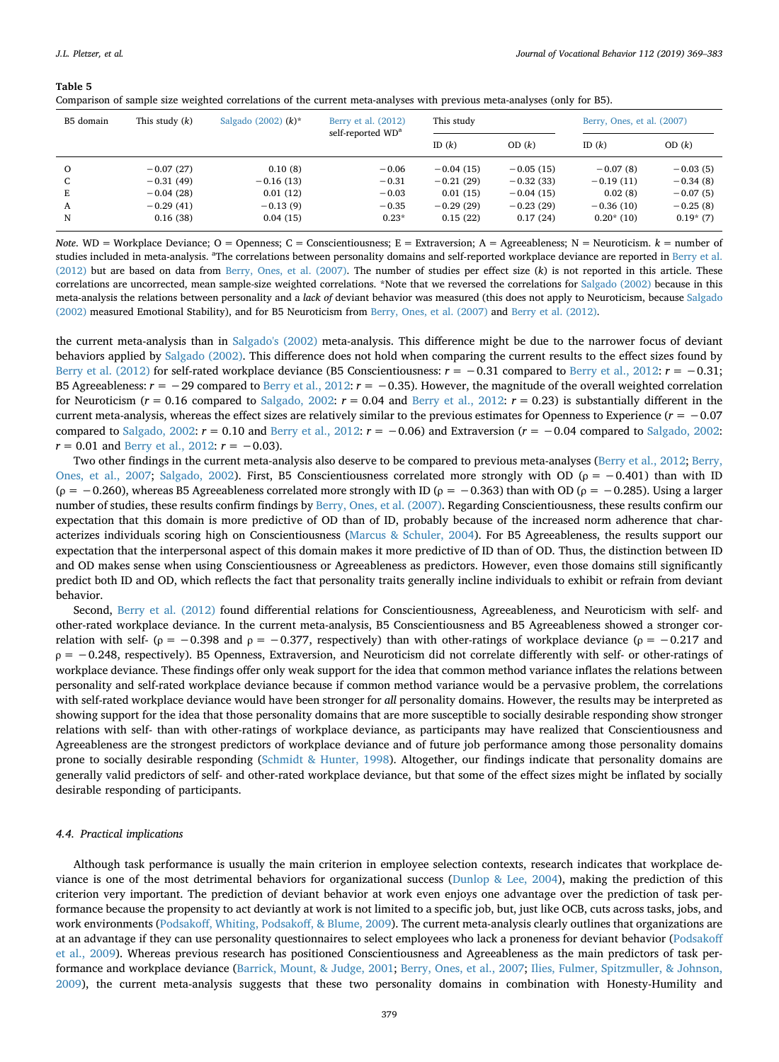#### <span id="page-10-0"></span>**Table 5**

| Comparison of sample size weighted correlations of the current meta-analyses with previous meta-analyses (only for B5). |
|-------------------------------------------------------------------------------------------------------------------------|
|-------------------------------------------------------------------------------------------------------------------------|

| B5 domain | This study $(k)$ | Salgado (2002) $(k)^*$ | Berry et al. (2012)<br>self-reported WD <sup>a</sup> | This study  |             |             | Berry, Ones, et al. (2007) |
|-----------|------------------|------------------------|------------------------------------------------------|-------------|-------------|-------------|----------------------------|
|           |                  |                        |                                                      | ID $(k)$    | OD (k)      | ID $(k)$    | OD (k)                     |
| $\circ$   | $-0.07(27)$      | 0.10(8)                | $-0.06$                                              | $-0.04(15)$ | $-0.05(15)$ | $-0.07(8)$  | $-0.03(5)$                 |
| C         | $-0.31(49)$      | $-0.16(13)$            | $-0.31$                                              | $-0.21(29)$ | $-0.32(33)$ | $-0.19(11)$ | $-0.34(8)$                 |
| Е         | $-0.04(28)$      | 0.01(12)               | $-0.03$                                              | 0.01(15)    | $-0.04(15)$ | 0.02(8)     | $-0.07(5)$                 |
| A         | $-0.29(41)$      | $-0.13(9)$             | $-0.35$                                              | $-0.29(29)$ | $-0.23(29)$ | $-0.36(10)$ | $-0.25(8)$                 |
| N         | 0.16(38)         | 0.04(15)               | $0.23*$                                              | 0.15(22)    | 0.17(24)    | $0.20*(10)$ | $0.19*(7)$                 |

*Note*. WD = Workplace Deviance; O = Openness; C = Conscientiousness; E = Extraversion; A = Agreeableness; N = Neuroticism.  $k$  = number of studies included in meta-analysis. <sup>a</sup>The correlations between personality domains and self-reported workplace deviance are reported in [Berry et al.](#page-12-1) [\(2012\)](#page-12-1) but are based on data from [Berry, Ones, et al. \(2007\)](#page-12-0). The number of studies per effect size (*k*) is not reported in this article. These correlations are uncorrected, mean sample-size weighted correlations. \*Note that we reversed the correlations for [Salgado \(2002\)](#page-14-0) because in this meta-analysis the relations between personality and a *lack of* deviant behavior was measured (this does not apply to Neuroticism, because [Salgado](#page-14-0) [\(2002\)](#page-14-0) measured Emotional Stability), and for B5 Neuroticism from [Berry, Ones, et al. \(2007\)](#page-12-0) and [Berry et al. \(2012\)](#page-12-1).

the current meta-analysis than in [Salgado's \(2002\)](#page-14-0) meta-analysis. This difference might be due to the narrower focus of deviant behaviors applied by [Salgado \(2002\).](#page-14-0) This difference does not hold when comparing the current results to the effect sizes found by [Berry et al. \(2012\)](#page-12-1) for self-rated workplace deviance (B5 Conscientiousness: *r* = −0.31 compared to [Berry et al., 2012:](#page-12-1) *r* = −0.31; B5 Agreeableness: *r* = −29 compared to [Berry et al., 2012:](#page-12-1) *r* = −0.35). However, the magnitude of the overall weighted correlation for Neuroticism ( $r = 0.16$  compared to [Salgado, 2002:](#page-14-0)  $r = 0.04$  and [Berry et al., 2012](#page-12-1):  $r = 0.23$ ) is substantially different in the current meta-analysis, whereas the effect sizes are relatively similar to the previous estimates for Openness to Experience  $(r = -0.07$ compared to [Salgado, 2002](#page-14-0): *r* = 0.10 and [Berry et al., 2012:](#page-12-1) *r* = −0.06) and Extraversion (*r* = −0.04 compared to [Salgado, 2002](#page-14-0):  $r = 0.01$  and [Berry et al., 2012:](#page-12-1)  $r = -0.03$ ).

Two other findings in the current meta-analysis also deserve to be compared to previous meta-analyses [\(Berry et al., 2012](#page-12-1); [Berry,](#page-12-0) [Ones, et al., 2007;](#page-12-0) [Salgado, 2002\)](#page-14-0). First, B5 Conscientiousness correlated more strongly with OD (*ρ* = −0.401) than with ID (*ρ* = −0.260), whereas B5 Agreeableness correlated more strongly with ID (*ρ* = −0.363) than with OD (*ρ* = −0.285). Using a larger number of studies, these results confirm findings by [Berry, Ones, et al. \(2007\).](#page-12-0) Regarding Conscientiousness, these results confirm our expectation that this domain is more predictive of OD than of ID, probably because of the increased norm adherence that characterizes individuals scoring high on Conscientiousness [\(Marcus & Schuler, 2004\)](#page-13-14). For B5 Agreeableness, the results support our expectation that the interpersonal aspect of this domain makes it more predictive of ID than of OD. Thus, the distinction between ID and OD makes sense when using Conscientiousness or Agreeableness as predictors. However, even those domains still significantly predict both ID and OD, which reflects the fact that personality traits generally incline individuals to exhibit or refrain from deviant behavior.

Second, [Berry et al. \(2012\)](#page-12-1) found differential relations for Conscientiousness, Agreeableness, and Neuroticism with self- and other-rated workplace deviance. In the current meta-analysis, B5 Conscientiousness and B5 Agreeableness showed a stronger correlation with self- ( $\rho = -0.398$  and  $\rho = -0.377$ , respectively) than with other-ratings of workplace deviance ( $\rho = -0.217$  and *ρ* = −0.248, respectively). B5 Openness, Extraversion, and Neuroticism did not correlate differently with self- or other-ratings of workplace deviance. These findings offer only weak support for the idea that common method variance inflates the relations between personality and self-rated workplace deviance because if common method variance would be a pervasive problem, the correlations with self-rated workplace deviance would have been stronger for *all* personality domains. However, the results may be interpreted as showing support for the idea that those personality domains that are more susceptible to socially desirable responding show stronger relations with self- than with other-ratings of workplace deviance, as participants may have realized that Conscientiousness and Agreeableness are the strongest predictors of workplace deviance and of future job performance among those personality domains prone to socially desirable responding [\(Schmidt & Hunter, 1998](#page-14-24)). Altogether, our findings indicate that personality domains are generally valid predictors of self- and other-rated workplace deviance, but that some of the effect sizes might be inflated by socially desirable responding of participants.

#### *4.4. Practical implications*

Although task performance is usually the main criterion in employee selection contexts, research indicates that workplace deviance is one of the most detrimental behaviors for organizational success [\(Dunlop & Lee, 2004](#page-13-25)), making the prediction of this criterion very important. The prediction of deviant behavior at work even enjoys one advantage over the prediction of task performance because the propensity to act deviantly at work is not limited to a specific job, but, just like OCB, cuts across tasks, jobs, and work environments ([Podsakoff, Whiting, Podsakoff, & Blume, 2009](#page-14-25)). The current meta-analysis clearly outlines that organizations are at an advantage if they can use personality questionnaires to select employees who lack a proneness for deviant behavior ([Podsakoff](#page-14-25) [et al., 2009\)](#page-14-25). Whereas previous research has positioned Conscientiousness and Agreeableness as the main predictors of task performance and workplace deviance ([Barrick, Mount, & Judge, 2001](#page-12-23); [Berry, Ones, et al., 2007;](#page-12-0) [Ilies, Fulmer, Spitzmuller, & Johnson,](#page-13-36) [2009\)](#page-13-36), the current meta-analysis suggests that these two personality domains in combination with Honesty-Humility and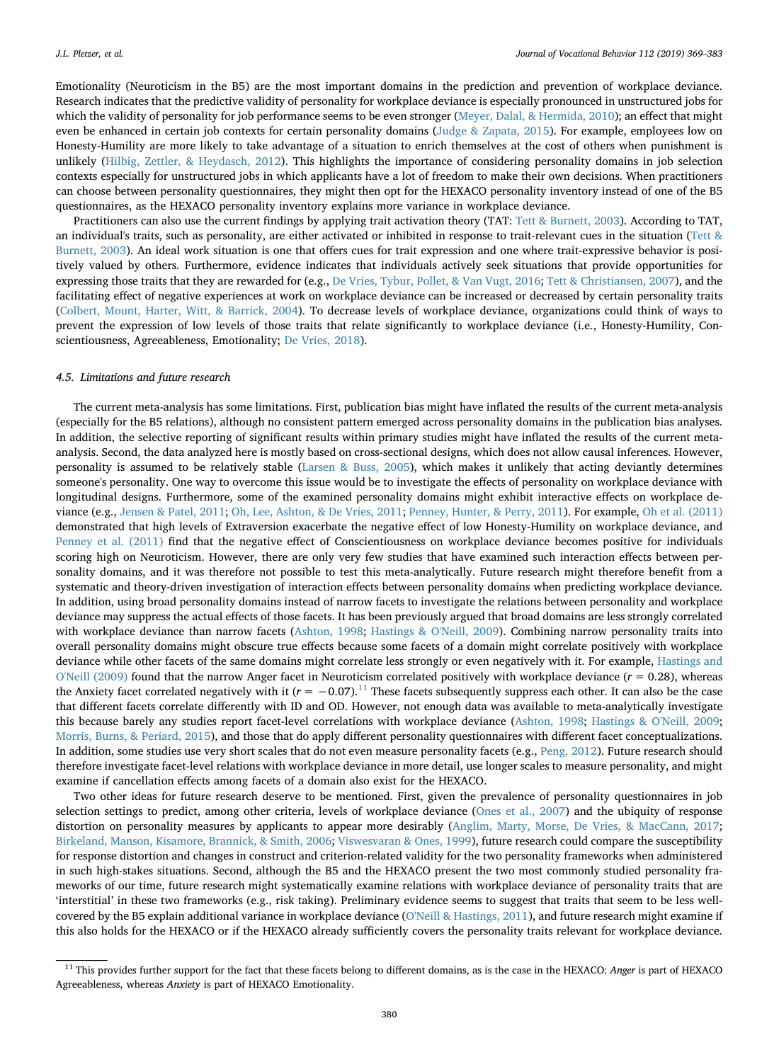Emotionality (Neuroticism in the B5) are the most important domains in the prediction and prevention of workplace deviance. Research indicates that the predictive validity of personality for workplace deviance is especially pronounced in unstructured jobs for which the validity of personality for job performance seems to be even stronger [\(Meyer, Dalal, & Hermida, 2010\)](#page-13-37); an effect that might even be enhanced in certain job contexts for certain personality domains [\(Judge & Zapata, 2015](#page-13-38)). For example, employees low on Honesty-Humility are more likely to take advantage of a situation to enrich themselves at the cost of others when punishment is unlikely ([Hilbig, Zettler, & Heydasch, 2012](#page-13-39)). This highlights the importance of considering personality domains in job selection contexts especially for unstructured jobs in which applicants have a lot of freedom to make their own decisions. When practitioners can choose between personality questionnaires, they might then opt for the HEXACO personality inventory instead of one of the B5 questionnaires, as the HEXACO personality inventory explains more variance in workplace deviance.

Practitioners can also use the current findings by applying trait activation theory (TAT: [Tett & Burnett, 2003](#page-14-26)). According to TAT, an individual's traits, such as personality, are either activated or inhibited in response to trait-relevant cues in the situation [\(Tett &](#page-14-26) [Burnett, 2003](#page-14-26)). An ideal work situation is one that offers cues for trait expression and one where trait-expressive behavior is positively valued by others. Furthermore, evidence indicates that individuals actively seek situations that provide opportunities for expressing those traits that they are rewarded for (e.g., [De Vries, Tybur, Pollet, & Van Vugt, 2016](#page-12-24); [Tett & Christiansen, 2007\)](#page-14-27), and the facilitating effect of negative experiences at work on workplace deviance can be increased or decreased by certain personality traits [\(Colbert, Mount, Harter, Witt, & Barrick, 2004](#page-12-25)). To decrease levels of workplace deviance, organizations could think of ways to prevent the expression of low levels of those traits that relate significantly to workplace deviance (i.e., Honesty-Humility, Conscientiousness, Agreeableness, Emotionality; [De Vries, 2018\)](#page-12-26).

#### *4.5. Limitations and future research*

The current meta-analysis has some limitations. First, publication bias might have inflated the results of the current meta-analysis (especially for the B5 relations), although no consistent pattern emerged across personality domains in the publication bias analyses. In addition, the selective reporting of significant results within primary studies might have inflated the results of the current metaanalysis. Second, the data analyzed here is mostly based on cross-sectional designs, which does not allow causal inferences. However, personality is assumed to be relatively stable [\(Larsen & Buss, 2005](#page-13-6)), which makes it unlikely that acting deviantly determines someone's personality. One way to overcome this issue would be to investigate the effects of personality on workplace deviance with longitudinal designs. Furthermore, some of the examined personality domains might exhibit interactive effects on workplace deviance (e.g., [Jensen & Patel, 2011;](#page-13-40) [Oh, Lee, Ashton, & De Vries, 2011;](#page-14-28) [Penney, Hunter, & Perry, 2011](#page-14-29)). For example, [Oh et al. \(2011\)](#page-14-28) demonstrated that high levels of Extraversion exacerbate the negative effect of low Honesty-Humility on workplace deviance, and [Penney et al. \(2011\)](#page-14-29) find that the negative effect of Conscientiousness on workplace deviance becomes positive for individuals scoring high on Neuroticism. However, there are only very few studies that have examined such interaction effects between personality domains, and it was therefore not possible to test this meta-analytically. Future research might therefore benefit from a systematic and theory-driven investigation of interaction effects between personality domains when predicting workplace deviance. In addition, using broad personality domains instead of narrow facets to investigate the relations between personality and workplace deviance may suppress the actual effects of those facets. It has been previously argued that broad domains are less strongly correlated with workplace deviance than narrow facets ([Ashton, 1998](#page-12-27); [Hastings & O'Neill, 2009\)](#page-13-5). Combining narrow personality traits into overall personality domains might obscure true effects because some facets of a domain might correlate positively with workplace deviance while other facets of the same domains might correlate less strongly or even negatively with it. For example, [Hastings and](#page-13-5) [O'Neill \(2009\)](#page-13-5) found that the narrow Anger facet in Neuroticism correlated positively with workplace deviance (*r* = 0.28), whereas the Anxiety facet correlated negatively with it  $(r = -0.07)$ .<sup>[11](#page-11-0)</sup> These facets subsequently suppress each other. It can also be the case that different facets correlate differently with ID and OD. However, not enough data was available to meta-analytically investigate this because barely any studies report facet-level correlations with workplace deviance [\(Ashton, 1998](#page-12-27); [Hastings & O'Neill, 2009](#page-13-5); [Morris, Burns, & Periard, 2015](#page-13-41)), and those that do apply different personality questionnaires with different facet conceptualizations. In addition, some studies use very short scales that do not even measure personality facets (e.g., [Peng, 2012](#page-14-30)). Future research should therefore investigate facet-level relations with workplace deviance in more detail, use longer scales to measure personality, and might examine if cancellation effects among facets of a domain also exist for the HEXACO.

Two other ideas for future research deserve to be mentioned. First, given the prevalence of personality questionnaires in job selection settings to predict, among other criteria, levels of workplace deviance ([Ones et al., 2007](#page-14-4)) and the ubiquity of response distortion on personality measures by applicants to appear more desirably [\(Anglim, Marty, Morse, De Vries, & MacCann, 2017](#page-12-28); [Birkeland, Manson, Kisamore, Brannick, & Smith, 2006](#page-12-29); [Viswesvaran & Ones, 1999](#page-14-31)), future research could compare the susceptibility for response distortion and changes in construct and criterion-related validity for the two personality frameworks when administered in such high-stakes situations. Second, although the B5 and the HEXACO present the two most commonly studied personality frameworks of our time, future research might systematically examine relations with workplace deviance of personality traits that are 'interstitial' in these two frameworks (e.g., risk taking). Preliminary evidence seems to suggest that traits that seem to be less wellcovered by the B5 explain additional variance in workplace deviance ([O'Neill & Hastings, 2011](#page-14-32)), and future research might examine if this also holds for the HEXACO or if the HEXACO already sufficiently covers the personality traits relevant for workplace deviance.

<span id="page-11-0"></span><sup>&</sup>lt;sup>11</sup> This provides further support for the fact that these facets belong to different domains, as is the case in the HEXACO: *Anger* is part of HEXACO Agreeableness, whereas *Anxiety* is part of HEXACO Emotionality.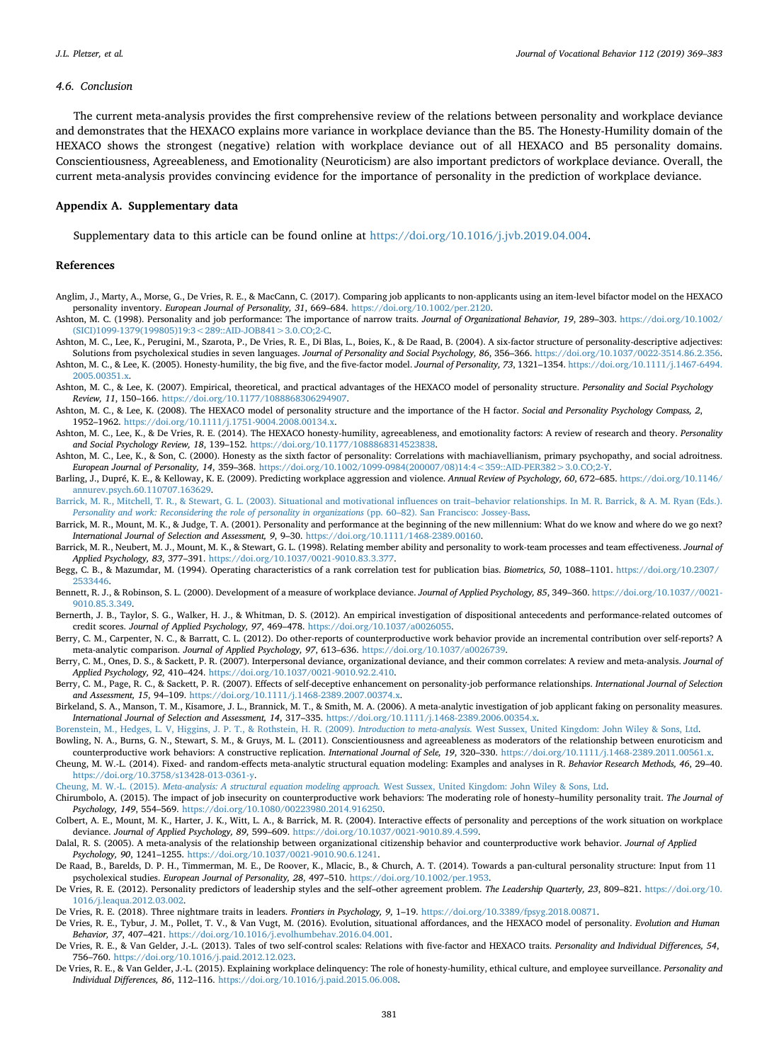## *4.6. Conclusion*

The current meta-analysis provides the first comprehensive review of the relations between personality and workplace deviance and demonstrates that the HEXACO explains more variance in workplace deviance than the B5. The Honesty-Humility domain of the HEXACO shows the strongest (negative) relation with workplace deviance out of all HEXACO and B5 personality domains. Conscientiousness, Agreeableness, and Emotionality (Neuroticism) are also important predictors of workplace deviance. Overall, the current meta-analysis provides convincing evidence for the importance of personality in the prediction of workplace deviance.

#### **Appendix A. Supplementary data**

Supplementary data to this article can be found online at [https://doi.org/10.1016/j.jvb.2019.04.004.](https://doi.org/10.1016/j.jvb.2019.04.004)

### **References**

- <span id="page-12-28"></span>Anglim, J., Marty, A., Morse, G., De Vries, R. E., & MacCann, C. (2017). Comparing job applicants to non-applicants using an item-level bifactor model on the HEXACO personality inventory. *European Journal of Personality, 31*, 669–684. [https://doi.org/10.1002/per.2120.](https://doi.org/10.1002/per.2120)
- <span id="page-12-27"></span>Ashton, M. C. (1998). Personality and job performance: The importance of narrow traits. *Journal of Organizational Behavior, 19*, 289–303. [https://doi.org/10.1002/](https://doi.org/10.1002/(SICI)1099-1379(199805)19:3<289::AID-JOB841>3.0.CO;2-C)  $(SICD1099-1379(199805)19:3 < 289 \cdot \text{AID-JOB}841 > 3.0 \cdot \text{CO} \cdot 2 \cdot \text{C}$
- <span id="page-12-21"></span>Ashton, M. C., Lee, K., Perugini, M., Szarota, P., De Vries, R. E., Di Blas, L., Boies, K., & De Raad, B. (2004). A six-factor structure of personality-descriptive adjectives: Solutions from psycholexical studies in seven languages. *Journal of Personality and Social Psychology, 86*, 356–366. <https://doi.org/10.1037/0022-3514.86.2.356>. Ashton, M. C., & Lee, K. (2005). Honesty-humility, the big five, and the five-factor model. *Journal of Personality, 73*, 1321–1354. [https://doi.org/10.1111/j.1467-6494.](https://doi.org/10.1111/j.1467-6494.2005.00351.x)
- <span id="page-12-10"></span><span id="page-12-2"></span>[2005.00351.x](https://doi.org/10.1111/j.1467-6494.2005.00351.x). Ashton, M. C., & Lee, K. (2007). Empirical, theoretical, and practical advantages of the HEXACO model of personality structure. *Personality and Social Psychology Review, 11*, 150–166. <https://doi.org/10.1177/1088868306294907>.
- <span id="page-12-9"></span>Ashton, M. C., & Lee, K. (2008). The HEXACO model of personality structure and the importance of the H factor. *Social and Personality Psychology Compass, 2*, 1952–1962. [https://doi.org/10.1111/j.1751-9004.2008.00134.x.](https://doi.org/10.1111/j.1751-9004.2008.00134.x)
- <span id="page-12-3"></span>Ashton, M. C., Lee, K., & De Vries, R. E. (2014). The HEXACO honesty-humility, agreeableness, and emotionality factors: A review of research and theory. *Personality and Social Psychology Review, 18*, 139–152. <https://doi.org/10.1177/1088868314523838>.
- <span id="page-12-11"></span>Ashton, M. C., Lee, K., & Son, C. (2000). Honesty as the sixth factor of personality: Correlations with machiavellianism, primary psychopathy, and social adroitness. *European Journal of Personality, 14*, 359–368. [https://doi.org/10.1002/1099-0984\(200007/08\)14:4<359::AID-PER382>3.0.CO;2-Y.](https://doi.org/10.1002/1099-0984(200007/08)14:4<359::AID-PER382>3.0.CO;2-Y)
- <span id="page-12-5"></span>Barling, J., Dupré, K. E., & Kelloway, K. E. (2009). Predicting workplace aggression and violence. *Annual Review of Psychology, 60*, 672–685. [https://doi.org/10.1146/](https://doi.org/10.1146/annurev.psych.60.110707.163629) [annurev.psych.60.110707.163629.](https://doi.org/10.1146/annurev.psych.60.110707.163629)
- <span id="page-12-19"></span>[Barrick, M. R., Mitchell, T. R., & Stewart, G. L. \(2003\). Situational and motivational influences on trait–behavior relationships. In M. R. Barrick, & A. M. Ryan \(Eds.\).](http://refhub.elsevier.com/S0001-8791(19)30058-2/rf0045) *[Personality and work: Reconsidering the role of personality in organizations](http://refhub.elsevier.com/S0001-8791(19)30058-2/rf0045)* (pp. 60–82). San Francisco: Jossey-Bass.
- <span id="page-12-23"></span>Barrick, M. R., Mount, M. K., & Judge, T. A. (2001). Personality and performance at the beginning of the new millennium: What do we know and where do we go next? *International Journal of Selection and Assessment, 9*, 9–30. <https://doi.org/10.1111/1468-2389.00160>.
- <span id="page-12-20"></span>Barrick, M. R., Neubert, M. J., Mount, M. K., & Stewart, G. L. (1998). Relating member ability and personality to work-team processes and team effectiveness. *Journal of Applied Psychology, 83*, 377–391. [https://doi.org/10.1037/0021-9010.83.3.377.](https://doi.org/10.1037/0021-9010.83.3.377)
- <span id="page-12-16"></span>Begg, C. B., & Mazumdar, M. (1994). Operating characteristics of a rank correlation test for publication bias. *Biometrics, 50*, 1088–1101. [https://doi.org/10.2307/](https://doi.org/10.2307/2533446) [2533446](https://doi.org/10.2307/2533446).
- <span id="page-12-7"></span>Bennett, R. J., & Robinson, S. L. (2000). Development of a measure of workplace deviance. *Journal of Applied Psychology, 85*, 349–360. [https://doi.org/10.1037//0021-](https://doi.org/10.1037//0021-9010.85.3.349) [9010.85.3.349](https://doi.org/10.1037//0021-9010.85.3.349).
- <span id="page-12-18"></span>Bernerth, J. B., Taylor, S. G., Walker, H. J., & Whitman, D. S. (2012). An empirical investigation of dispositional antecedents and performance-related outcomes of credit scores. *Journal of Applied Psychology, 97*, 469–478. [https://doi.org/10.1037/a0026055.](https://doi.org/10.1037/a0026055)
- <span id="page-12-1"></span>Berry, C. M., Carpenter, N. C., & Barratt, C. L. (2012). Do other-reports of counterproductive work behavior provide an incremental contribution over self-reports? A meta-analytic comparison. *Journal of Applied Psychology, 97*, 613–636. <https://doi.org/10.1037/a0026739>.
- <span id="page-12-0"></span>Berry, C. M., Ones, D. S., & Sackett, P. R. (2007). Interpersonal deviance, organizational deviance, and their common correlates: A review and meta-analysis. *Journal of Applied Psychology, 92*, 410–424. [https://doi.org/10.1037/0021-9010.92.2.410.](https://doi.org/10.1037/0021-9010.92.2.410)
- <span id="page-12-13"></span>Berry, C. M., Page, R. C., & Sackett, P. R. (2007). Effects of self-deceptive enhancement on personality-job performance relationships. *International Journal of Selection and Assessment, 15*, 94–109. [https://doi.org/10.1111/j.1468-2389.2007.00374.x.](https://doi.org/10.1111/j.1468-2389.2007.00374.x)
- <span id="page-12-29"></span>Birkeland, S. A., Manson, T. M., Kisamore, J. L., Brannick, M. T., & Smith, M. A. (2006). A meta-analytic investigation of job applicant faking on personality measures. *International Journal of Selection and Assessment, 14*, 317–335. <https://doi.org/10.1111/j.1468-2389.2006.00354.x>.
- <span id="page-12-15"></span><span id="page-12-6"></span>[Borenstein, M., Hedges, L. V, Higgins, J. P. T., & Rothstein, H. R. \(2009\).](http://refhub.elsevier.com/S0001-8791(19)30058-2/rf9005) *Introduction to meta-analysis.* West Sussex, United Kingdom: John Wiley & Sons, Ltd. Bowling, N. A., Burns, G. N., Stewart, S. M., & Gruys, M. L. (2011). Conscientiousness and agreeableness as moderators of the relationship between enuroticism and
- <span id="page-12-17"></span>counterproductive work behaviors: A constructive replication. *International Journal of Sele, 19*, 320–330. <https://doi.org/10.1111/j.1468-2389.2011.00561.x>. Cheung, M. W.-L. (2014). Fixed- and random-effects meta-analytic structural equation modeling: Examples and analyses in R. *Behavior Research Methods, 46*, 29–40. [https://doi.org/10.3758/s13428-013-0361-y.](https://doi.org/10.3758/s13428-013-0361-y)
- Cheung, M. W.-L. (2015). *Meta-analysis: A structural equation modeling approach.* [West Sussex, United Kingdom: John Wiley & Sons, Ltd.](http://refhub.elsevier.com/S0001-8791(19)30058-2/rf0105)
- <span id="page-12-4"></span>Chirumbolo, A. (2015). The impact of job insecurity on counterproductive work behaviors: The moderating role of honesty–humility personality trait. *The Journal of Psychology, 149*, 554–569. <https://doi.org/10.1080/00223980.2014.916250>.
- <span id="page-12-25"></span>Colbert, A. E., Mount, M. K., Harter, J. K., Witt, L. A., & Barrick, M. R. (2004). Interactive effects of personality and perceptions of the work situation on workplace deviance. *Journal of Applied Psychology, 89*, 599–609. <https://doi.org/10.1037/0021-9010.89.4.599>.
- <span id="page-12-14"></span>Dalal, R. S. (2005). A meta-analysis of the relationship between organizational citizenship behavior and counterproductive work behavior. *Journal of Applied Psychology, 90*, 1241–1255. <https://doi.org/10.1037/0021-9010.90.6.1241>.
- <span id="page-12-8"></span>De Raad, B., Barelds, D. P. H., Timmerman, M. E., De Roover, K., Mlacic, B., & Church, A. T. (2014). Towards a pan-cultural personality structure: Input from 11 psycholexical studies. *European Journal of Personality, 28*, 497–510. [https://doi.org/10.1002/per.1953.](https://doi.org/10.1002/per.1953)
- <span id="page-12-22"></span>De Vries, R. E. (2012). Personality predictors of leadership styles and the self–other agreement problem. *The Leadership Quarterly, 23*, 809–821. [https://doi.org/10.](https://doi.org/10.1016/j.leaqua.2012.03.002) [1016/j.leaqua.2012.03.002](https://doi.org/10.1016/j.leaqua.2012.03.002).
- <span id="page-12-26"></span>De Vries, R. E. (2018). Three nightmare traits in leaders. *Frontiers in Psychology, 9*, 1–19. <https://doi.org/10.3389/fpsyg.2018.00871>.
- <span id="page-12-24"></span>De Vries, R. E., Tybur, J. M., Pollet, T. V., & Van Vugt, M. (2016). Evolution, situational affordances, and the HEXACO model of personality. *Evolution and Human Behavior, 37*, 407–421. [https://doi.org/10.1016/j.evolhumbehav.2016.04.001.](https://doi.org/10.1016/j.evolhumbehav.2016.04.001)
- <span id="page-12-12"></span>De Vries, R. E., & Van Gelder, J.-L. (2013). Tales of two self-control scales: Relations with five-factor and HEXACO traits. *Personality and Individual Differences, 54*, 756–760. [https://doi.org/10.1016/j.paid.2012.12.023.](https://doi.org/10.1016/j.paid.2012.12.023)
- De Vries, R. E., & Van Gelder, J.-L. (2015). Explaining workplace delinquency: The role of honesty-humility, ethical culture, and employee surveillance. *Personality and Individual Differences, 86*, 112–116. <https://doi.org/10.1016/j.paid.2015.06.008>.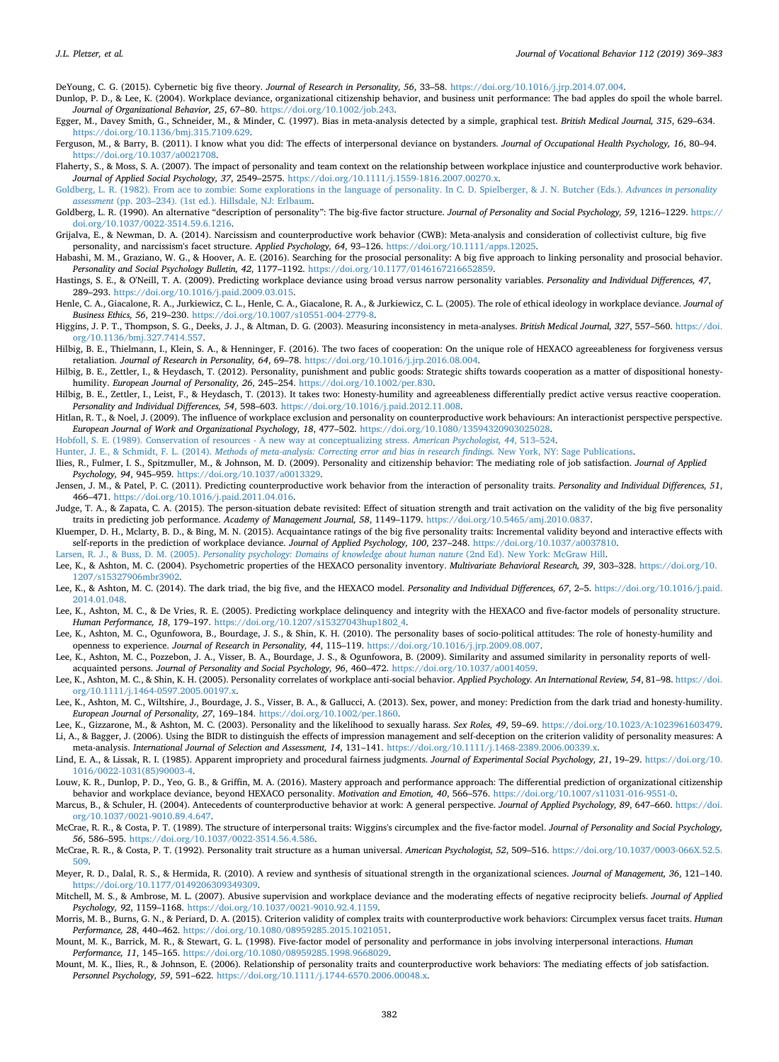<span id="page-13-29"></span>DeYoung, C. G. (2015). Cybernetic big five theory. *Journal of Research in Personality, 56*, 33–58. [https://doi.org/10.1016/j.jrp.2014.07.004.](https://doi.org/10.1016/j.jrp.2014.07.004)

<span id="page-13-25"></span>Dunlop, P. D., & Lee, K. (2004). Workplace deviance, organizational citizenship behavior, and business unit performance: The bad apples do spoil the whole barrel. *Journal of Organizational Behavior, 25*, 67–80. [https://doi.org/10.1002/job.243.](https://doi.org/10.1002/job.243)

<span id="page-13-21"></span>Egger, M., Davey Smith, G., Schneider, M., & Minder, C. (1997). Bias in meta-analysis detected by a simple, graphical test. *British Medical Journal, 315*, 629–634. [https://doi.org/10.1136/bmj.315.7109.629.](https://doi.org/10.1136/bmj.315.7109.629)

<span id="page-13-26"></span>Ferguson, M., & Barry, B. (2011). I know what you did: The effects of interpersonal deviance on bystanders. *Journal of Occupational Health Psychology, 16*, 80–94. <https://doi.org/10.1037/a0021708>.

<span id="page-13-19"></span>Flaherty, S., & Moss, S. A. (2007). The impact of personality and team context on the relationship between workplace injustice and counterproductive work behavior. *Journal of Applied Social Psychology, 37*, 2549–2575. <https://doi.org/10.1111/j.1559-1816.2007.00270.x>.

<span id="page-13-7"></span>[Goldberg, L. R. \(1982\). From ace to zombie: Some explorations in the language of personality. In C. D. Spielberger, & J. N. Butcher \(Eds.\).](http://refhub.elsevier.com/S0001-8791(19)30058-2/rf0175) *Advances in personality assessment* [\(pp. 203–234\). \(1st ed.\). Hillsdale, NJ: Erlbaum.](http://refhub.elsevier.com/S0001-8791(19)30058-2/rf0175)

<span id="page-13-8"></span>Goldberg, L. R. (1990). An alternative "description of personality": The big-five factor structure. *Journal of Personality and Social Psychology, 59*, 1216–1229. [https://](https://doi.org/10.1037/0022-3514.59.6.1216) [doi.org/10.1037/0022-3514.59.6.1216.](https://doi.org/10.1037/0022-3514.59.6.1216)

<span id="page-13-17"></span>Grijalva, E., & Newman, D. A. (2014). Narcissism and counterproductive work behavior (CWB): Meta-analysis and consideration of collectivist culture, big five personality, and narcissism's facet structure. *Applied Psychology, 64*, 93–126. [https://doi.org/10.1111/apps.12025.](https://doi.org/10.1111/apps.12025)

<span id="page-13-12"></span>Habashi, M. M., Graziano, W. G., & Hoover, A. E. (2016). Searching for the prosocial personality: A big five approach to linking personality and prosocial behavior. *Personality and Social Psychology Bulletin, 42*, 1177–1192. [https://doi.org/10.1177/0146167216652859.](https://doi.org/10.1177/0146167216652859)

<span id="page-13-5"></span>Hastings, S. E., & O'Neill, T. A. (2009). Predicting workplace deviance using broad versus narrow personality variables. *Personality and Individual Differences, 47*, 289–293. [https://doi.org/10.1016/j.paid.2009.03.015.](https://doi.org/10.1016/j.paid.2009.03.015)

<span id="page-13-0"></span>Henle, C. A., Giacalone, R. A., Jurkiewicz, C. L., Henle, C. A., Giacalone, R. A., & Jurkiewicz, C. L. (2005). The role of ethical ideology in workplace deviance. *Journal of Business Ethics, 56*, 219–230. [https://doi.org/10.1007/s10551-004-2779-8.](https://doi.org/10.1007/s10551-004-2779-8)

<span id="page-13-20"></span>Higgins, J. P. T., Thompson, S. G., Deeks, J. J., & Altman, D. G. (2003). Measuring inconsistency in meta-analyses. *British Medical Journal, 327*, 557–560. [https://doi.](https://doi.org/10.1136/bmj.327.7414.557) [org/10.1136/bmj.327.7414.557.](https://doi.org/10.1136/bmj.327.7414.557)

<span id="page-13-34"></span>Hilbig, B. E., Thielmann, I., Klein, S. A., & Henninger, F. (2016). The two faces of cooperation: On the unique role of HEXACO agreeableness for forgiveness versus retaliation. *Journal of Research in Personality, 64*, 69–78. <https://doi.org/10.1016/j.jrp.2016.08.004>.

<span id="page-13-39"></span>Hilbig, B. E., Zettler, I., & Heydasch, T. (2012). Personality, punishment and public goods: Strategic shifts towards cooperation as a matter of dispositional honestyhumility. *European Journal of Personality, 26*, 245–254. [https://doi.org/10.1002/per.830.](https://doi.org/10.1002/per.830)

<span id="page-13-35"></span>Hilbig, B. E., Zettler, I., Leist, F., & Heydasch, T. (2013). It takes two: Honesty-humility and agreeableness differentially predict active versus reactive cooperation. *Personality and Individual Differences, 54*, 598–603. [https://doi.org/10.1016/j.paid.2012.11.008.](https://doi.org/10.1016/j.paid.2012.11.008)

<span id="page-13-22"></span>Hitlan, R. T., & Noel, J. (2009). The influence of workplace exclusion and personality on counterproductive work behaviours: An interactionist perspective perspective. *European Journal of Work and Organizational Psychology, 18*, 477–502. <https://doi.org/10.1080/13594320903025028>.

<span id="page-13-27"></span>[Hobfoll, S. E. \(1989\). Conservation of resources - A new way at conceptualizing stress.](http://refhub.elsevier.com/S0001-8791(19)30058-2/rf0230) *American Psychologist, 44*, 513–524.

<span id="page-13-18"></span>Hunter, J. E., & Schmidt, F. L. (2014). *[Methods of meta-analysis: Correcting error and bias in research findings.](http://refhub.elsevier.com/S0001-8791(19)30058-2/rf0235)* New York, NY: Sage Publications.

<span id="page-13-36"></span>Ilies, R., Fulmer, I. S., Spitzmuller, M., & Johnson, M. D. (2009). Personality and citizenship behavior: The mediating role of job satisfaction. *Journal of Applied Psychology, 94*, 945–959. [https://doi.org/10.1037/a0013329.](https://doi.org/10.1037/a0013329)

<span id="page-13-40"></span>Jensen, J. M., & Patel, P. C. (2011). Predicting counterproductive work behavior from the interaction of personality traits. *Personality and Individual Differences, 51*, 466–471. [https://doi.org/10.1016/j.paid.2011.04.016.](https://doi.org/10.1016/j.paid.2011.04.016)

- <span id="page-13-38"></span>Judge, T. A., & Zapata, C. A. (2015). The person-situation debate revisited: Effect of situation strength and trait activation on the validity of the big five personality traits in predicting job performance. *Academy of Management Journal, 58*, 1149–1179. [https://doi.org/10.5465/amj.2010.0837.](https://doi.org/10.5465/amj.2010.0837)
- <span id="page-13-23"></span>Kluemper, D. H., Mclarty, B. D., & Bing, M. N. (2015). Acquaintance ratings of the big five personality traits: Incremental validity beyond and interactive effects with self-reports in the prediction of workplace deviance. *Journal of Applied Psychology, 100*, 237–248. [https://doi.org/10.1037/a0037810.](https://doi.org/10.1037/a0037810)

<span id="page-13-6"></span>Larsen, R. J., & Buss, D. M. (2005). *[Personality psychology: Domains of knowledge about human nature](http://refhub.elsevier.com/S0001-8791(19)30058-2/rf9000)* (2nd Ed). New York: McGraw Hill.

<span id="page-13-2"></span>Lee, K., & Ashton, M. C. (2004). Psychometric properties of the HEXACO personality inventory. *Multivariate Behavioral Research, 39*, 303–328. [https://doi.org/10.](https://doi.org/10.1207/s15327906mbr3902) [1207/s15327906mbr3902](https://doi.org/10.1207/s15327906mbr3902).

<span id="page-13-33"></span>Lee, K., & Ashton, M. C. (2014). The dark triad, the big five, and the HEXACO model. *Personality and Individual Differences, 67*, 2–5. [https://doi.org/10.1016/j.paid.](https://doi.org/10.1016/j.paid.2014.01.048) [2014.01.048.](https://doi.org/10.1016/j.paid.2014.01.048)

- <span id="page-13-9"></span>Lee, K., Ashton, M. C., & De Vries, R. E. (2005). Predicting workplace delinquency and integrity with the HEXACO and five-factor models of personality structure. *Human Performance, 18*, 179–197. [https://doi.org/10.1207/s15327043hup1802\\_4.](https://doi.org/10.1207/s15327043hup1802_4)
- <span id="page-13-31"></span>Lee, K., Ashton, M. C., Ogunfowora, B., Bourdage, J. S., & Shin, K. H. (2010). The personality bases of socio-political attitudes: The role of honesty-humility and openness to experience. *Journal of Research in Personality, 44*, 115–119. [https://doi.org/10.1016/j.jrp.2009.08.007.](https://doi.org/10.1016/j.jrp.2009.08.007)
- <span id="page-13-30"></span>Lee, K., Ashton, M. C., Pozzebon, J. A., Visser, B. A., Bourdage, J. S., & Ogunfowora, B. (2009). Similarity and assumed similarity in personality reports of wellacquainted persons. *Journal of Personality and Social Psychology, 96*, 460–472. <https://doi.org/10.1037/a0014059>.

<span id="page-13-24"></span>Lee, K., Ashton, M. C., & Shin, K. H. (2005). Personality correlates of workplace anti-social behavior. *Applied Psychology. An International Review, 54*, 81–98. [https://doi.](https://doi.org/10.1111/j.1464-0597.2005.00197.x) [org/10.1111/j.1464-0597.2005.00197.x](https://doi.org/10.1111/j.1464-0597.2005.00197.x).

<span id="page-13-32"></span>Lee, K., Ashton, M. C., Wiltshire, J., Bourdage, J. S., Visser, B. A., & Gallucci, A. (2013). Sex, power, and money: Prediction from the dark triad and honesty-humility. *European Journal of Personality, 27*, 169–184. <https://doi.org/10.1002/per.1860>.

<span id="page-13-16"></span><span id="page-13-10"></span>Lee, K., Gizzarone, M., & Ashton, M. C. (2003). Personality and the likelihood to sexually harass. *Sex Roles, 49*, 59–69. <https://doi.org/10.1023/A:1023961603479>. Li, A., & Bagger, J. (2006). Using the BIDR to distinguish the effects of impression management and self-deception on the criterion validity of personality measures: A

<span id="page-13-28"></span>meta-analysis. *International Journal of Selection and Assessment, 14*, 131–141. [https://doi.org/10.1111/j.1468-2389.2006.00339.x.](https://doi.org/10.1111/j.1468-2389.2006.00339.x) Lind, E. A., & Lissak, R. I. (1985). Apparent impropriety and procedural fairness judgments. *Journal of Experimental Social Psychology, 21*, 19–29. [https://doi.org/10.](https://doi.org/10.1016/0022-1031(85)90003-4) [1016/0022-1031\(85\)90003-4.](https://doi.org/10.1016/0022-1031(85)90003-4)

<span id="page-13-3"></span>Louw, K. R., Dunlop, P. D., Yeo, G. B., & Griffin, M. A. (2016). Mastery approach and performance approach: The differential prediction of organizational citizenship behavior and workplace deviance, beyond HEXACO personality. *Motivation and Emotion, 40*, 566–576. <https://doi.org/10.1007/s11031-016-9551-0>.

<span id="page-13-14"></span>Marcus, B., & Schuler, H. (2004). Antecedents of counterproductive behavior at work: A general perspective. *Journal of Applied Psychology, 89*, 647–660. [https://doi.](https://doi.org/10.1037/0021-9010.89.4.647) [org/10.1037/0021-9010.89.4.647](https://doi.org/10.1037/0021-9010.89.4.647).

<span id="page-13-11"></span>McCrae, R. R., & Costa, P. T. (1989). The structure of interpersonal traits: Wiggins's circumplex and the five-factor model. *Journal of Personality and Social Psychology, 56*, 586–595. [https://doi.org/10.1037/0022-3514.56.4.586.](https://doi.org/10.1037/0022-3514.56.4.586)

<span id="page-13-1"></span>McCrae, R. R., & Costa, P. T. (1992). Personality trait structure as a human universal. *American Psychologist, 52*, 509–516. [https://doi.org/10.1037/0003-066X.52.5.](https://doi.org/10.1037/0003-066X.52.5.509) [509.](https://doi.org/10.1037/0003-066X.52.5.509)

<span id="page-13-37"></span>Meyer, R. D., Dalal, R. S., & Hermida, R. (2010). A review and synthesis of situational strength in the organizational sciences. *Journal of Management, 36*, 121–140. <https://doi.org/10.1177/0149206309349309>.

<span id="page-13-4"></span>Mitchell, M. S., & Ambrose, M. L. (2007). Abusive supervision and workplace deviance and the moderating effects of negative reciprocity beliefs. *Journal of Applied Psychology, 92*, 1159–1168. <https://doi.org/10.1037/0021-9010.92.4.1159>.

<span id="page-13-41"></span>Morris, M. B., Burns, G. N., & Periard, D. A. (2015). Criterion validity of complex traits with counterproductive work behaviors: Circumplex versus facet traits. *Human Performance, 28*, 440–462. [https://doi.org/10.1080/08959285.2015.1021051.](https://doi.org/10.1080/08959285.2015.1021051)

<span id="page-13-13"></span>Mount, M. K., Barrick, M. R., & Stewart, G. L. (1998). Five-factor model of personality and performance in jobs involving interpersonal interactions. *Human Performance, 11*, 145–165. [https://doi.org/10.1080/08959285.1998.9668029.](https://doi.org/10.1080/08959285.1998.9668029)

<span id="page-13-15"></span>Mount, M. K., Ilies, R., & Johnson, E. (2006). Relationship of personality traits and counterproductive work behaviors: The mediating effects of job satisfaction. *Personnel Psychology, 59*, 591–622. [https://doi.org/10.1111/j.1744-6570.2006.00048.x.](https://doi.org/10.1111/j.1744-6570.2006.00048.x)